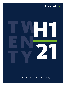#### freenet GROUP

<span id="page-0-0"></span>

HALF-YEAR REPORT AS OF 30 JUNE 2021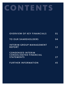# **CONTENTS**

| <b>OVERVIEW OF KEY FINANCIALS</b>                         | 01              |
|-----------------------------------------------------------|-----------------|
| <b>TO OUR SHAREHOLDERS</b>                                | 04              |
| <b>INTERIM GROUP MANAGEMENT</b><br><b>REPORT</b>          | 12 <sub>1</sub> |
| <b>CONDENSED INTERIM</b><br><b>CONSOLIDATED FINANCIAL</b> |                 |
| <b>STATEMENTS</b>                                         | 27              |
| <b>FURTHER INFORMATION</b>                                | 45              |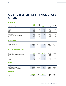#### <span id="page-2-0"></span>**OVERVIEW OF KEY FINANCIALS<sup>1</sup> GROUP**

#### **OPERATIONS**

|                                        | 1st half | 1st half              |                |         |                       |
|----------------------------------------|----------|-----------------------|----------------|---------|-----------------------|
|                                        | 2021     | 2020                  |                |         | Q2/2020               |
| In EUR millions/as indicated           |          | restated <sup>2</sup> | <b>Q2/2021</b> | Q1/2021 | restated <sup>2</sup> |
| Revenue                                | 1,239.0  | 1.271.0               | 619.9          | 619.2   | 622.1                 |
| Gross profit                           | 424.3    | 425.7                 | 210.3          | 214.0   | 212.5                 |
| <b>EBITDA</b>                          | 222.3    | 213.9                 | 113.5          | 108.8   | 109.7                 |
| EBIT                                   | 109.0    | 135.4                 | 40.0           | 69.0    | 70.5                  |
| <b>EBT</b>                             | 92.8     | 112.1                 | 32.6           | 60.1    | 59.8                  |
| Consolidated profit                    | 82.5     | 109.3                 | 32.8           | 49.8    | 58.1                  |
| Thereof from discontinued operations   |          | 11.0                  |                |         | 5.5                   |
| Earnings per share in EUR <sup>3</sup> | 0.74     | 0.88                  | 0.34           | 0.40    | 0.47                  |
| Thereof from discontinued operations   |          | 0.09                  |                |         | 0.05                  |

#### **BALANCE SHEET**

| In EUR millions/as indicated | 30.6.2021 | 30.6.2020 | 30.6.2021 | 31.3.2021 | 30.6.2020 |
|------------------------------|-----------|-----------|-----------|-----------|-----------|
| Total equity and liabilities | 3.942.7   | 4.721.2   | 3.942.7   | 4.242.8   | 4.721.2   |
| Equity                       | 1.628.3   | 1.350.7   | 1.628.3   | 1.833.1   | 1.350.7   |
| Equity ratio in %            | 41.3      | 28.6      | 41.3      | 43.2      | 28.6      |

#### **FINANCES AND INVESTMENTS**

|                                                            | 1st half | 1st half |         |         |         |
|------------------------------------------------------------|----------|----------|---------|---------|---------|
| In EUR millions                                            | 2021     | 2020     | O2/2021 | 01/2021 | Q2/2020 |
| Free cash flow (without Sunrise contribution) <sup>4</sup> | 112.2    | 100.3    | 52.7    | 59.5    | 47.4    |
| Depreciation, amortisation and impairment                  | 113.3    | 78.5     | 73.5    | 39.8    | 39.2    |
| Net investments (CAPEX)                                    | 19.4     | 17.3     | 10.8    | 8.6     | 9.5     |
| Net debt                                                   | 841.9    | 1.891.5  | 841.9   | 691.9   | 1,891.5 |
| Leverage                                                   | 1.9      | 4.4      | 1.9     | 1.6     | 4.4     |

#### **SHARE**

| As indicated                          | 30.6.2021 | 30.6.2020 | 30.6.2021 | 31.3.2021 | 30.6.2020 |
|---------------------------------------|-----------|-----------|-----------|-----------|-----------|
| Closing price Xetra in EUR            | 19.92     | 14.32     | 19.92     | 20.41     | 14.32     |
| Number of issued shares in '000s      | 128,061   | 128.061   | 128,061   | 128.061   | 128.061   |
| Market capitalisation in EUR millions | 2.551.0   | 1.833.8   | 2.551.0   | 2.613.7   | 1.833.8   |

#### **EMPLOYEES**

|           | 30.6.2021 | 30.6.2020 | 30.6.2021 | 31.3.2021 | 30.6.2020 |
|-----------|-----------|-----------|-----------|-----------|-----------|
| Employees | 3,812     | 4,014     | 3,812     | 3,909     | 4.014     |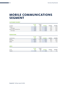### **MOBILE COMMUNICATIONS SEGMENT**

#### **CUSTOMER FIGURES <sup>5</sup>**

|                               | 1st half | 1st half |         |         |         |
|-------------------------------|----------|----------|---------|---------|---------|
| In millions                   | 2021     | 2020     | O2/2021 | O1/2021 | Q2/2020 |
| Postpaid                      | 7.113    | 6.939    | 7.113   | 7.099   | 6.939   |
| Net change                    | 0.035    | 0.037    | 0.014   | 0.021   | 0.014   |
| freenet FUNK and freenet Flex | 0.078    | 0.042    | 0.078   | 0.068   | 0.042   |
| Net change                    | 0.021    | 0.008    | 0.010   | 0.011   | 0.007   |

#### **OPERATIONS**

| In EUR millions | 1st half<br>2021 | 1st half<br>2020 | 02/2021 | O1/2021 | O <sub>2</sub> /2020 |
|-----------------|------------------|------------------|---------|---------|----------------------|
| Revenue         | 1.099.9          | 1.136.8          | 551.1   | 548.7   | 554.2                |
| Gross profit    | 325.7            | 326.1            | 161.8   | 163.9   | 160.8                |
| EBITDA          | 183.3            | 182.6            | 91.5    | 91.7    | 91.0                 |

#### **ARPU**

| In EUR   | 1st half<br>2021 | 1st half<br>2020 | <b>Q2/2021</b> | O1/2021 | Q2/2020 |
|----------|------------------|------------------|----------------|---------|---------|
| Postpaid | 17.9             | 18.3             | 18.0           | 17.8    | 18.1    |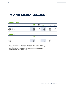### **TV AND MEDIA SEGMENT**

#### **CUSTOMER FIGURES5**

|                              | 1st half | 1st half |         |         |         |
|------------------------------|----------|----------|---------|---------|---------|
| In '000s                     | 2021     | 2020     | 02/2021 | O1/2021 | Q2/2020 |
| freenet TV subscribers (RGU) | 845.0    | 1,005.0  | 845.0   | 868.3   | 1,005.0 |
| Net change                   | $-56.8$  | $-16.1$  | $-23.2$ | $-33.6$ | $-11.9$ |
| waipu.tv subscribers         | 644.6    | 504.1    | 644.6   | 611.7   | 504.1   |
| Net change                   | 72.1     | 95.8     | 32.9    | 39.2    | 51.7    |

#### **OPERATIONS**

| In EUR millions | 1st half<br>2021 | 1st half<br>2020 | 02/2021 | O1/2021 | Q2/2020 |
|-----------------|------------------|------------------|---------|---------|---------|
| Revenue         | 138.8            | 125.9            | 69.3    | 69.5    | 65.2    |
| Gross profit    | 89.8             | 81.1             | 44.0    | 45.8    | 43.1    |
| <b>EBITDA</b>   | 47.0             | 36.5             | 25.0    | 22.0    | 20.9    |

' Unless indicated otherwise, key financials are defined in the "Corporate management" section of the 2020 Annual Report.<br>'Retrospective restatement of comparatives for the first half of 2020 and second quarter of 2020 due in accordance with IFRS 5.

<sup>3</sup> Basic and diluted.<br>4 H1/20 free cash flow adjusted for dividend from Sunrise (Q2/20: 46.0 million euros) and corresponding interest payments<br>on the syndicated bank loan (H1/20: approx. 5.6 million euros).

<sup>5</sup> At the end of the period.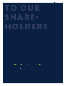# ANRIE-OLDER

#### TO OUR SHAREHOLDERS

- 06 | Report of the Executive Board
- 08 | The freenet share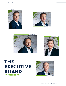*Ingo Arnold (CFO)* 





*Stephan Esch (CTO)*

*Christoph Vilanek (CEO)*





### **THE EXECUTIVE BOARD OF FREENET AG**



*Rickmann v. Platen (CCO)*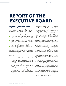### **REPORT OF THE EXECUTIVE BOARD**

#### **Dear shareholders, business partners, customers and friends of the freenet Group,**

In our most recent Annual Report, we highlighted how our solid, resilient business model has enabled us to record consistently positive results despite COVID-19 restrictions. Other key success factors that once again proved their worth and continue to do so during the ongoing crisis include:

- the largely subscription-based revenue and margins in our business areas of Mobile Communications, Digital Lifestyle and TV and Media;
- our indispensable services and devices relating to the Internet, TV and radio consumption and mobile digital interaction;
- our comprehensive, flexible and intelligently interconnected sales structures, and, last but not least,
- our flat hierarchies with digitalised processes, and communication and decision-making channels.

Our interim results after the first half of the current year look very similar to those of 31 December 2020. As in the previous year, we remain resolutely on course, even though COVID-19 will likely remain a key issue for society in the longer term:

- Revenue totalled 619.9 million euros in the second quarter of this year compared to 622.1 million euros in Q2/2020. Overall, the Group generated revenue of 1,239.0 million euros in the first six months of the year – a decline of 2.5 per cent compared to the prior-year period. This reduction was primarily due to a decline in low-margin hardware revenue in the Mobile Communications segment.
- At 113.5 million euros, EBITDA improved considerably in Q2/2021 (109.7 million euros in Q2/2020). EBITDA for the first half of the year came to 222.3 million euros – an increase of 8.4 million euros or 3.9 per cent compared to 2020.
- Free cash flow amounted to 52.7 million euros in the second quarter and 112.2 million euros in the first half of 2021. This represents a year-on-year increase of around 11.9 per cent (excluding the positive amount from the Sunrise dividend in 2020).
- Our subscriber base (including freenet FUNK & Flex) also continued on its positive trajectory, growing by 33,200 customers in the second quarter to 8.681 million at the end of June – an increase of 71,100 since the beginning of the year and 190,400 year-on-year.

As a result, the first half of the financial year has been completed more than successfully and the prospects for the second half of the year have prompted us as the Executive Board to increase the guidance for EBITDA and free cash flow. EBITDA is now expected to be in a range between 430 and 445 million euros (previously: 415 to 435 million euros). In line with this, free cash flow is forecast to be between 215 and 230 million euros (previously: 200 to 220 million euros). For all other financial and non-financial performance indicators, the forecast for the full year remains unchanged.

The much-hoped-for improvement in external conditions in the second half of the year will additionally help us to reliably generate our new target figures as well. The majority of freenet's own shops and stores, as well as other important points of sale such as MediaMarkt and Saturn, were closed throughout the first quarter and for several weeks in the second quarter. Although we were able to acquire half of our new customers in the Mobile Communications business via our non-retail-based channels, and three-quarters of retained customers were retained by our own efforts via what are known as our "captive channels" during this time, store closures – and the closure of GRAVIS stores in particular – somewhat restricted the positive performance overall, namely sales of smartphones, iPads, notebooks and related accessories. The ongoing vaccination program and progress towards herd immunity also make us optimistic about the second half of the year and give us cause to hope that we will be spared from further store closures.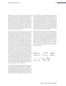Regardless of this, we are working to continually optimise the scope and quality of our products and services. We are making increased use of artificial intelligence, machine learning, chat bots, self-help and digital interaction in order to understand and serve our customers' needs as effectively as possible. Weekly business magazine WirtschaftsWoche recently reaffirmed our success among our customers and our pioneering position in the sector. In its survey of 100,000 consumers, the magazine identified Germany's best companies for customer service from a field of 650 firms – with freenet named in the telecommunication sector's top three as it earned a (shared) second place.

Given our consistent customer focus, we are both relaxed and self-confident about a recent legislative initiative, the Telecommunications Modernisation Act, which is designed to implement the European Electronic Communications Code (EECC) that came into force at the end of 2018. The aim of the Telecommunications Modernisation Act is to promote a variety of products and services, customer communications and consumer rights. Although we cannot predict how the market and our competitors will actually react to these changes in the industry's legislative framework, we know that freenet customers already have the best possible choice, with complete flexibility in designing the terms and duration of their contracts as well as various options for contacting us. After all, lasting customer satisfaction is essential for us and our business. We also go to great lengths to ensure that we can support our partner store operators and specialist retailers in their customer contact and service efforts as effectively as possible. Our hard work in this area is also earning well-deserved plaudits, with readers of the Telecom Handel trade journal voting mobilcomdebitel Germany's best mobile network operator at the end of June. It is highly gratifying to achieve this top ranking for a multichannel strategy that is particularly relevant for customers, validating our approach of making our distribution and customer contact options as flexible as possible – and not just during the coronavirus pandemic.

The TV and Media segment also delivered good news on several occasions. As the operator of waipu.tv, EXARING AG added additional attractive channels and broadcasters in the first half of the year. Media Broadcast at the start of the year signed a long-term service contract with public broadcaster NDR for their analogue radio, DAB-Plus and DVB-T2 transmission systems, followed by a similar agreement with

WDR in February. In April, an agreement was signed with Germany's largest broadcaster to transmit matches in the first and second Bundesliga divisions from 36 stadiums using fibre optic and satellite technology. In June, Media Broadcast successfully carried out the world's first live TV broadcast via a 5G campus network at the German national football team's Euro 2020 base in Herzogenaurach. The broadcast relied on the portable 5G Blue Box, which is specially designed for such applications and can be installed anywhere in the country within a very short space of time. During the second quarter, the freenet subsidiary also completed its expansion of the second nationwide DAB+ multiplex.

We therefore believe that we have laid the foundations for a successful second half of the year and a generally positive 2021 despite the coronavirus pandemic. While we cannot predict how external factors will actually develop, we know that we, the management and all employees of the freenet Group, are very much looking forward to working more "normally" again soon: exchanging views openly and constructively in person, interacting harmoniously at our various sites, or being able to advise and support our customers face-to-face in shops and electronics stores – for the benefit of our customers, our employees, our business partners and our shareholders.

Christoph Vilanek Ingo Arnold Stephan Esch

 $A.3 - C$ 

Antonius Fromme Rickmann v. Platen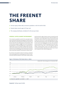### **THE FREENET SHARE**

- German equity indices defy coronavirus pandemic in the first half of 2021
- freenet shares record a gain of 25 per cent
- The company distributes a dividend of 1.65 euros per share

#### **GENERAL CAPITAL MARKET ENVIRONMENT**

The coronavirus pandemic and all of its associated restrictions continued to dominate the headlines in the first half of 2021. Reactions to the third wave of infections at the start of the year were the main talking points on the markets, while the vaccination program's sluggish start and increasing supply bottlenecks in the technology sector in particular provided further sources of irritation. Inflation fears and speculation about lasting supply chain disruption also simmered, and there were increasing signs that central bank monetary policy would shift towards a turnaround in interest rates.

By contrast, the quarterly results of numerous companies were surprisingly positive, prompting many of them to maintain their financial outlook for the full year. Equity indices

performed well in light of these results to end the first half of the year in more forgiving territory. Both the MDAX and the TecDAX, where freenet AG is listed, ended the first half of 2021 up 11 per cent. As the trend barometer for European telecommunications stocks, the SXKP Index recorded an even more encouraging gain of 15 per cent in the first and second quarters, as did the leading German DAX index, which rose by 13 per cent. In this environment, German mobile communications stocks once again proved crisis-proof and resilient, with share price rises of up to 26 per cent compared to their 2020 closing prices.



#### Figure 1: Performance of the freenet share vs. indices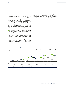#### **FREENET SHARE PERFORMANCE**

The freenet share performed well, rising by 25 per cent in the first six months of the year to close at 19.92 euros on 30 June 2021. After making a modest start to the new year, the stock recovered from its previous annual low at 15.85 euros at the start of February and continued to gain momentum as the year went on. Shortly before the Annual General Meeting and the distribution of the dividend, the shares reached a half-year high of 21.05 euros on 15 June 2021. This encouraging performance during the period under review was due to a number of factors:

- the Group's positive first-quarter results and the associated confirmation of its positive financial outlook for the 2021 financial year,
- the announcement and approval by the Annual General Meeting to distribute a dividend of 1.50 euros per share for the 2020 financial year as well as a special dividend of 15 euros per share, and
- the (second) 2021 share buyback program launched in February 2021 with a total volume of up to 135 million euros that is scheduled to run until 31 December 2021.

The freenet share's performance reflects the strategic decisions made by management and the Group's corresponding operating performance, particularly during the coronavirus pandemic, thus demonstrating the resilience of our business model perceived by the capital market.



#### Figure 2: Performance of the freenet share vs. peers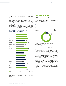#### **ANALYSTS' RECOMMENDATIONS**

At present, a total of 17 independent banks and investment funds regularly publish commentaries, valuations and recommendations for the freenet share. Three analyst firms ceased coverage of the share during the current financial year, while two new analysts published their initial assessment of the company. The number of buy recommendations increased to eight compared to 31 December 2020, with six hold recommendations and three sell recommendations. The target prices per share range from 13.00 euros to 25.50 euros, with an average target price of 21.40 euros as of 30 June 2021.

#### Figure 3: Current recommendations for the freenet share (target prices in euro)



The latest analyst assessments and recommendations have been published at https://www.freenet-group.de/investor/ share/.

#### **CHANGES IN THE FREENET GROUP SHAREHOLDER STRUCTURE**

The following chart shows the voting rights last reported by shareholders in accordance with Sections 33 and 34 of the German Securities Trading Act (WpHG), based on freenet AG's current share capital.

#### Figure 4: Shareholder structure of freenet AG on 30 June 2021



1 Incl. attributions according to the German Securities Trading Act (Wertpapierhandelsgesetz – WpHG).

2 The free float (according to Deutsche Börse AG) amounts to 88.18 per cent.

At 4.74 per cent, US asset manager BlackRock Inc. from Wilmington, Delaware, was the largest shareholder in freenet AG as of 30 June 2021. On 14 June 2021, another American investor – Dimensional Holdings Inc. from Austin, Texas – announced that it had exceeded the 3-per-cent threshold. The proportion of treasury shares held by freenet AG was 4.07 per cent as of 30 June 2021. The company announced that it had exceeded the reporting threshold of 3 per cent on 8 March 2021. A total of 88.18 per cent of shares were held by institutional or retail investors whose equity interest in each case was less than three per cent of freenet AG's share capital (free float according to Deutsche Börse AG's definition). During the period under review, Flossbach von Storch AG announced that it had fallen below the 10, 5 and 3-per cent reporting thresholds, while the Flossbach von Storch SICAV fell below the 5 and 3-per-cent reporting thresholds.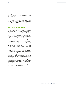All voting rights notifications pursuant to Section 21 WpHG have been published at www. https://www.freenet-group. de/investor/share.

One member of the Executive Board carried out managers' transactions in accordance with Art. 19 of the Market Abuse Regulation (MAR): Chief Financial Officer Ingo Arnold acquired a total of 2,500 shares worth around 45,000 euros on 25 February 2021.

#### **2021 ANNUAL GENERAL MEETING**

For the second year running, the Annual General Meeting of freenet AG for the 2020 financial year was held virtually on 18 June 2021 in accordance with Article 2 of the COVID-19 Relief Act. The Annual General Meeting was broadcast for freenet AG shareholders live over the Internet. Questions could be asked via the online service for shareholders and were answered by the Supervisory Board and Executive Board on the day of the Annual General Meeting.

Other interested parties could also follow the opening of the Annual General Meeting by the Meeting Chair and the speeches by the CEO and CFO as a live broadcast, while a recording of these was also made available for a limited time on the company website as an on-demand webcast afterwards.

Overall, 35.18 per cent of the registered share capital was represented at the virtual Annual General Meeting. The resolutions regarding ratification of the actions of the members of the company's Executive Board and Supervisory Board for financial year 2020 were adopted by a majority of shareholders. The vote to approve the Executive Board remuneration system did not achieve the majority required, with 65.58 per cent of the total share capital represented voting against the plan agreed by the Supervisory Board. An adjusted proposal is to be presented to the shareholders of freenet AG for approval by no later than the next Annual General Meeting in 2022. The shareholders approved all other agenda items by a large majority.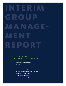# INTERIM G RO U P MANAGE-MENT PORT

#### INTERIM GROUP M A N A G E M E N T R E P O R T

- [13 | Principles of corporate management](#page-14-0)
- 14 | Financial management
- [16 | Course of business and significant events](#page-17-0)
- [19 | Performanceof operating segments in detail](#page-20-0)
- [21 | Net assets, financial position and results of operations](#page-22-0)
- [24 | Report on opportunities and risks](#page-25-0)
- [25 | Report on expected developments](#page-26-0)
- [26 | Report on post-balance sheet date events](#page-27-0)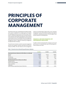### <span id="page-14-0"></span>**PRINCIPLES OF CORPORATE MANAGEMENT**

The freenet Group uses a standardised and reliable management system to implement its strategic goals and measure its operating performance across the entire Group. Performance is measured using financial and non-financial performance indicators that provide a foundation for value-oriented corporate governance. The established financial management system also ensures financial stability. The practicality of the management system is regularly reviewed by management and adjusted where necessary.

The performance indicators used for corporate management purposes also regularly represent alternative performance measures (APMs). The main features of the management system are outlined below. Please refer to the "Corporate management" section of the 2020 Annual Report (see page 45 onwards) for a detailed presentation of the key figures used and the method for calculating them.

#### **FINANCIAL AND NON-FINANCIAL KEY PERFORMANCE INDICATORS**

In order to measure and present the company's success and performance in a comprehensible way, the following performance indicators are used:

|                                                                            | H1/2021 | H1/2020 | H1/2019 |
|----------------------------------------------------------------------------|---------|---------|---------|
| Financial performance indicators (in EUR millions or as indicated)         |         |         |         |
| Revenue                                                                    | 1,239.0 | 1,271.0 | 1,389.0 |
| <b>EBITDA</b>                                                              | 222.3   | 213.9   | 215.5   |
| Free cash flow                                                             | 112.2   | 140.7   | 126.7   |
| Postpaid ARPU (in EUR)                                                     | 17.9    | 18.3    | 18.8    |
| Non-financial performance indicators (in millions)                         |         |         |         |
| Postpaid customers                                                         | 7.113   | 6.939   | 6.834   |
| freenet TV subscribers (RGU)                                               | 0.845   | 1.005   | 1.037   |
| waipu.tv subscribers                                                       | 0.645   | 0.504   | 0.332   |
| $=$ Subscribers<br>(Total of customers stated without freenet FUNK & Flex) | 8.603   | 8.449   | 8.203   |

#### Table 1: Financial and non-financial key performance indicators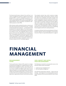<span id="page-15-0"></span>The financial performance indicator free cash flow is not used for management purposes at segment level whereas postpaid ARPU is used for management purposes in the Mobile Communications segment only. The financial performance indicators EBITDA, free cash flow, postpaid ARPU, and

mation purposes, are also APMs.

adjusted EBITDA, which occasionally is calculated for infor-

With a business model consistently focused on customers and their needs, the performance of the freenet Group – including its financial performance indicators – is closely linked to the development of its subscriber figures. This is why the acquisition of customers and their sustained loyalty are essential for the company's success. The strategically relevant customer group in each case varies depending on the operating segment. The postpaid customer base serves as a performance indicator for the Mobile Communication segment, and the revenue-generating TV customer base, comprising freenet TV subscribers (RGU) and waipu.tv subscribers, serves as a performance indicator for the TV and Media segment.

The postpaid customer base, which comprises strategically important mobile communications customers, ensures the medium-term profitability and liquidity strength of the freenet Group based on fixed-term contracts and is thus integral for managing the company's performance. Since entering the field of TV business, freenet AG has been addressing a further segment that strengthens and expands the company's strategic positioning as a digital lifestyle provider. In this context, the development of waipu.tv subscribers in particular serves as a measure for the success in establishing the new segment and thus for market penetration.

A comparison between the forecast development of the performance indicators and the actual figures can be found in the section "Report on expected developments" on page 25.

### **FINANCIAL MANAGEMENT**

#### **RISK MANAGEMENT SYSTEM**

The key performance indicator (KPI) system for strategic and operational management is supplemented by an established financial management system. The primary aims of the financial management approach taken by freenet AG are to ensure access to the (debt) capital market, provide sufficient liquidity for the operating business and define a reliable and sustainable dividend policy. The tasks required to achieve these aims are handled centrally by the Treasury department, supported by Financial Control and Accounting.

#### **CASH, LIQUIDITY AND CAPITAL STRUCTURE MANAGEMENT**

The following are essential to ensuring both access to the (external) capital market and liquidity:

- 1. capital structure management and
- 2. cash and liquidity management.

Two alternative performance measures – equity ratio and leverage – are key figures for structuring capital across the Group. Mandatory limits have been defined for both of these APMs.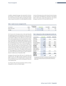In addition, adjusted leverage is also reported for information purposes. This provides a less conservative perspective on the freenet Group's debt by including the market values of equity investments in net debt (adjusted net debt).

Table 2: Capital structure management KPIs

In terms of the equity ratio, which shows the ratio of equity to total equity and liabilities (as reported in the balance sheet in each case), a lower limit of 25.0 per cent and for leverage a maximum of 3.0 times EBITDA was set.

|                     |        | Achieved as at |            |            |            |
|---------------------|--------|----------------|------------|------------|------------|
| As indicated        | Limits | 30.06.2021     | 30.06.2021 | 31.12.2020 | 30.06.2020 |
| Equity ratio (in %) | > 25.0 |                | 41.3       | 40.4       | 28.6       |
| Leverage            | <3.0   |                | 1.9        |            | 4.4        |

1

At 41.3 per cent, the equity ratio on the reporting date was significantly above the threshold of 25.0 per cent and increased slightly by 0.9 percentage points compared to the end of 2020. In addition to the collection of current profits from continuing operations, this rise resulted from a reduction in total equity and liabilities (debt reduction). On the other hand, equity was reduced by the dividend payment for the 2020 financial year of 203.7 million euros approved by the shareholders at the Annual General Meeting on 18 June 2021 and made in the reporting quarter, as well as the continued acquisition of own shares in the first half of 2021 (see section "2021 share buyback program") in the amount of 42.7 million euros. The equity ratio increased by 12.7 percentage points compared to 30 June 2020, primarily as a result of the sale of Sunrise shares to Liberty Global for almost 1.1 billion euros in November 2020.

Leverage at the end of June 2021 was 1.9, well below the maximum limit. The slight increase compared to year-end 2020 is mainly due to the dividend paid in mid-June 2021 for the 2020 financial year and the resulting brief reduction in the liquidity base.

As of 30 June 2021, the Executive Board confirms its financial guidance as well as all stated targets.

#### Table 3: (Adjusted) net debt and (adjusted) net debt ratio

| In EUR millions                                                                     | 30.06.2021 | 31.12.2020 | 30.06.2020 |
|-------------------------------------------------------------------------------------|------------|------------|------------|
| Long-term<br>borrowings                                                             | 636.3      | 734.8      | 1,000.8    |
| Short-term<br>borrowings                                                            | 54.4       | 206.0      | 641.7      |
| Net lease liabilities                                                               | 440.0      | 466.7      | 468.1      |
| Liquid assets                                                                       | $-288.9$   | $-666.9$   | $-219.1$   |
| Net debt                                                                            | 841.9      | 740.6      | 1,891.5    |
| Leverage                                                                            | 1.9        | 1.7        | 4.4        |
| Market value of<br>equity investments<br>(30.06.2020 incl.<br>Sunrise) <sup>1</sup> | $-134.3$   | $-184.9$   | $-973.5$   |
| Adjusted<br>net debt                                                                | 707.6      | 555.8      | 918.0      |
| Adjusted<br>debt ratio                                                              | 1.6        | 1.3        | 2.2        |

 The market value of CECONOMY is calculated by multiplying the closing price of CECONOMY's ordinary shares on the Frankfurt stock exchange by the number of shares held by the freenet Group (32,633,555) as of the relevant reference date.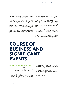#### <span id="page-17-0"></span>**DIVIDEND POLICY**

The dividend policy is another key component of the Group's financial management activities. In principle, the Executive Board pursues a policy of consistent distributions aligned with the freenet Group's operational performance. Free cash flow serves as the starting point and basis for determining dividends. As a reliable and transparent point of reference for shareholders to derive the expected distribution, this liquidity indicator is integral to forecasting and managing the company's performance. In the interest of continuing to make regular distributions, management has defined 80 per cent of free cash flow as a long-term, stable distribution rate. In addition to a cash dividend, freenet shareholders might participate in the company's success in the form of share buybacks (as was last done in the fourth quarter of 2020 and is currently ongoing).

#### **2021 SHARE BUYBACK PROGRAM**

At the Annual General Meeting on 27 May 2020, shareholders authorised the Executive Board to repurchase the Group's own shares. This authorisation covers the acquisition of up to 10 per cent of share capital at the time of the resolution and requires the approval of the Supervisory Board in order to be exercised. A total of 2.31 per cent of share capital (approx. 2.96 million shares) were previously repurchased in 2020 as part of the first share buyback program.

An additional share buyback program representing up to 7.61 per cent of share capital (9.75 million shares) was agreed on 25 February 2021 and is scheduled to run until 31 December 2021. Acquisitions are limited to a maximum of 135.0 million euros. Approximately 2.20 million shares worth around 42.7 million euros had been repurchased by 30 June 2021. As a result, the proportion of directly and indirectly held treasury shares currently totals 4.07 per cent.

### **COURSE OF BUSINESS AND SIGNIFICANT EVENTS**

#### **REVENUE PILLARS OF THE FREENET GROUP**

As a digital lifestyle provider and the largest networkindependent mobile communications provider in Germany, the freenet Group operates in three business areas:

- The core business Mobile Communications focuses particularly on high-quality postpaid contracts, served primarily by its main brand mobilcom-debitel. The company also uses its own specially-developed IT platform as the basis for digital and increasingly flexible tariffs such as freenet FUNK and freenet Flex.
- To supplement its core business, freenet serves the growth segment Digital Lifestyle, which mainly includes mobile devices as well as all services, applications and equipment associated with mobile devices or that can be controlled or used via an intelligent device.
- The third key element of the product and service portfolio is modern, high-definition digital television in two technological variants: freenet TV for terrestrial television and waipu.tv for IPTV entertainment.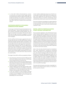■ In a first half of 2021 still dominated by coronavirus restrictions, the freenet Group's largely subscription-based business model once again proved viable, predictable and relatively crisis-resistant, as demonstrated by the generally positive performance of its three business areas in the first six months of the current financial year.

#### **CONTINUING GROWTH IN THE MOBILE COMMUNICATIONS SEGMENT**

In recent years, the freenet Group has developed two innovative tariff models – freenet FUNK and freenet Flex – that give customers the greatest possible flexibility, thus setting new standards in the market. While the first half of 2021 was once again dominated by upgrades to existing tariffs, there were also numerous special offers and promotional campaigns.

The Flex tariff was the first to get an upgrade at the start of the year with voice over LTE, which offers quicker call setup, improved call quality and lower battery consumption. Over the next few months, there were then several attractive promotional offers aimed at a wide range of user requirements – and all at highly competitive rates. This once again demonstrated the value and efficiency of freenet's omnichannel sales model, with its multitude of closely interconnected distribution channels. During the COVID-19 pandemic, the Group's online channels largely compensated for the closure of the majority of its bricks-and-mortar shops and stores for several months.

The range of new tariffs on offer was expanded as follows:

- Since mid-January, freenet has also been offering its Flex tariff on the Vodafone network with up to 15 GB of data, a short free period and no connection fee.
- Starting in February and April, the same target group was able to enjoy this product on the Telefónica Deutschland network with an unlimited data volume for around 30 euros and an option to cancel monthly.
- mobilcom-debitel also had a wide range of tariffs on offer, including a 26 GB flat rate on the Telekom network for around 20 euros or a flat-rate telephone plan with 6 GB of data for the equivalent of 4.32 euros per month.
- In June, the company's no-frills subsidiary klarmobil increased the browsing speeds of two Allnet Flat tariffs, doubling speeds to 50 Mbit/s for the 10 GB plan and quadrupling it for the 20 GB tariff.

In April, mobilcom-debitel also became one of the first service providers to offer 5G RED tariffs on the Vodafone network. Prices ranged from just under 40 euros a month for 4 GB of data to 90 euros a month for unlimited data, all with unlimited calls and texts and a contract term of 24 months.

This array of initiatives and upgrades once again helped the Group to seamlessly continue what has been almost uninterrupted growth for years in particularly valuable postpaid customers in 2021.

#### **DIGITAL LIFESTYLE PORTFOLIO MAKING STEADY REVENUE CONTRIBUTION**

Due to quarantine regulations, many of the freenet Group's outlets remained closed for large parts of the first half of the year. Although this resulted in lower bricks-and-mortar sales of devices and smartphone accessories, the Group's digital lifestyle products and services once again proved to be a highly stable complement to the core business. Firstly, contract customers in the Mobile Communications business regularly contribute to revenues by taking out subscriptions to mobile phone insurance, antivirus software and other digital services. Sales of electronic products and digital devices via freenet's online sales channels also partially compensate for the bricks-and-mortar business.

Sales in this area were primarily focused on smartphones from major manufacturers, including the bestselling iPhone 12 and Galaxy S21, the Google Pixel 4 at the best price, and a Xiaomi smartphone with a free fitness watch. However, the Group also offered gaming consoles such as the PlayStation 5 and Nintendo Switch or headphones such as Apple's AirPods Pro as part of targeted campaigns and attractive bundles. The range of products and services on offer was rounded off by free or attractively priced trial periods of music streaming service Deezer Premium, the freenet Video streaming service or the Kaspersky Total Security premium virus protection package.

This means that this business area makes a meaningful contribution to the freenet Group's revenue, as it has done in previous quarters and years.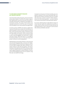#### **TV AND MEDIA SEGMENT REMAINS KEY GROWTH DRIVER**

Over the past few months and quarters, linear terrestrial television service freenet TV and the IPTV product waipu.tv have reaffirmed their vital role as the third crisis-proof revenue pillar and the perfect complement to the Mobile Communications business. The scope of both products was expanded during the first half of the year to incorporate new technology, services, partnerships and programming.

In the first quarter, EXARING AG (waipu.tv) added three channels from well-known comedy stars and influencers as well as KinoweltTV, the first German channel for arthouse films. At the end of the quarter, waipu.tv joined forces with Germany's largest sports portal, "kicker", to launch "kicker TV", which focuses on domestic and international football as well as assorted highlights from other sports. Another new sports channel, "More than Sports TV", was added to the channel portfolio in June. As a result, the Group's IPTV product continues to record steady growth.

Media Broadcast, the provider of freenet TV, also announced new and continuing partnerships. In January, the Colognebased subsidiary and NDR entered into a long-term contract to service NDR's analogue radio, DAB+ and DVB-T2 transmission systems at more than 65 locations. This was followed by a similar agreement with WDR in February. Finally, in April the company entered into an agreement with Germany's largest broadcaster to transmit matches in the first and second Bundesliga divisions from 36 stadiums using fibre optic and satellite technology.

During the second quarter, the freenet subsidiary also completed its expansion of the second nationwide DAB+ multiplex after the Schwerin transmitter went live in mid-May. This means that, at present, around 67 million listeners – 83 per cent of the German population – can receive channels from Antenne Deutschland's nationwide DAB+ platform.

By contrast, Media Broadcast's high-definition freenet TV service has had a stable and comparatively uneventful six months. After the 20-per-cent price increase last year, the anticipated decline in users continued in the first half of 2021, whereas profitability improved.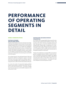### <span id="page-20-0"></span>**PERFORMANCE OF OPERATING SEGMENTS IN DETAIL**

#### **MOBILE COMMUNICATIONS**

#### **POSTPAID CUSTOMERS AND APP-BASED TARIFFS**

Despite all the lockdown restrictions imposed, the strategically important postpaid customer base continued to grow steadily during the first six months of the current financial year. This is primarily due to our flexible and intelligently interconnected sales structures and our consistent focus on both acquiring and retaining customers. In the first half of 2021, the number of postpaid customers rose by 34,600 to 7.113 million as of the end of June, of which 13,900 customers were attributable to the second quarter and 20,700 to the first quarter.

The customer base for the app-based freenet FUNK and freenet Flex tariffs also continued to expand. In the first half of the current year, 21,100 new customers opted for one of these new digital tariffs, including 9,700 in the second quarter and 11,500 in the first three months of the year.

As a result, the number of comparatively highly-profitable mobile communications customers was around 7.191 million as of the end of the first half – an increase of 55,800 since the start of the year and 210,000 compared to the same period in 2020.

#### **POSTPAID ARPU AND MOBILE REVENUE FROM SERVICES**

As of 30 June 2021, postpaid ARPU fell by around 30 cents from 18.3 euros in the first half of 2020 to 17.9 euros. This was due to the almost total loss of roaming revenue and lower data top-ups as a result of COVID-19 restrictions. Postpaid ARPU showed signs of stabilisation on a quarter-by-quarter basis. After a decline of 20 cents to 17.8 euros in the first quarter of 2021, a slight increase to 18.0 euros was recorded during the second quarter, primarily due to the gradual relaxation of restrictions.

Thanks to this stabilisation in postpaid ARPU and moderate growth in postpaid customer numbers, revenue from services in the Mobile Communications segment rose slightly year-on-year from 758.6 million euros to 763.1 million euros in the first half of 2021, of which 384.2 million euros was attributable to the second quarter – an increase of 2.1 per cent compared to the second quarter of 2020.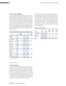#### **DIGITAL LIFESTYLE REVENUE**

The Group's digital lifestyle products and services once again proved to be a profitable complement to the core business in the first half of 2021 despite the closure of bricksand-mortar retail for many weeks. Digital lifestyle revenue was 95.8 million euros in the first six months of the current year, 11.7 per cent up on the previous year's figure (85.8 million euros). Of this total, 48.9 million euros was attributable to the second quarter of 2021, a rise of 14.4 per cent compared to the second quarter of 2020 (42.8 million euros). Overall, the digital lifestyle business benefited from the fact that subscriptions now make up a significant proportion of its revenue.

Table 4: Mobile Communications operating performance

The television product freenet TV also performed well during the period under review. Although the number of revenue-generating users (RGU) fell in the quarters following the price increase in May 2020, this trend flattened in the first half of 2021 as expected. After a decline of 33,600 subscribers in the first quarter, 23,200 subscribers opted not to continue paying for freenet TV in the second quarter. Overall, the freenet TV business model remains highly profitable; in fact, last year's price increase means it is now more profitable than before.

#### Table 5: TV customer base

#### as indicated **1st half 2021 1st half 2020 Q2/ 2021 Q1/ 2021**  $O<sub>2</sub>$ 2020 Postpaid customers <sup>1</sup> (in millions) 7.113 6.939 7.113 7.099 6.939 Postpaid ARPU (in EUR) 17.9 18.3 18.0 17.8 18.1 freenet FUNK and freenet Flex<sup>1</sup> (in millions) 0.078 0.042 0.078 0.068 0.042 Revenue from services, postpaid (in EUR millions) 763.1 758.6 384.2 378.9 376.2 Revenue from services, no-frills/ prepaid (in EUR millions) 53.2 60.1 26.7 26.5 28.8 Digital lifestyle revenue (in EUR millions) 95.8 85.8 48.9 46.9 42.8

1 At the end of the period

#### **TV AND MEDIA**

#### **TV CUSTOMER BASE**

The freenet Group's television business is also proving relatively crisis-resistant in 2021. The IPTV product waipu.tv continues to grow. Several new channels and partnerships also enhanced the product's appeal during the current year, which in turn is having a positive impact on the development of the subscriber base. The number of subscribers has increased by 72,100 to 644,600 since the start of 2021; of this total, 32,900 is attributable to the second quarter. This once again confirms the solid growth of 30,000 to 40,000 subscribers per quarter anticipated by management.

| In '000s                          | 30.6.<br>2021 | 31.3.<br>2021                           | 31.12.<br>2020 | 30.9.<br>2020 | 30.6.<br>2020 |
|-----------------------------------|---------------|-----------------------------------------|----------------|---------------|---------------|
| freenet TV sub-<br>scribers (RGU) | 845.0         | 868.3                                   | 901.9          | 942.0         | 1.005.0       |
| waipu.tv<br>subscribers           | 644.6         | 611.7                                   | 572.5          | 509.5         | 504.1         |
| Total                             |               | 1.489.6 1.480.0 1.474.3 1.451.5 1.509.2 |                |               |               |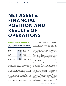### <span id="page-22-0"></span>**NET ASSETS, FINANCIAL POSITION AND RESULTS OF OPERATIONS**

#### **REVENUE AND RESULTS OF OPERATIONS**

Table 6: Revenue and earnings performance indicators for the Group

| In EUR '000s               | <b>Q2/2021</b> | Q2/2020    | Change    |
|----------------------------|----------------|------------|-----------|
| Revenue                    | 619,858        | 622,135    | $-2,277$  |
| Gross profit               | 210,253        | 212,538    | $-2,285$  |
| Overhead                   | $-96,770$      | $-102,840$ | 6,070     |
| <b>EBITDA</b>              | 113,483        | 109,698    | 3,785     |
| EBIT                       | 39,982         | 70.487     | $-30,505$ |
| Financial result           | $-7.341$       | $-10,657$  | 3,316     |
| <b>EBT</b>                 | 32.641         | 59,830     | $-27,189$ |
| <b>Consolidated profit</b> | 32,765         | 58,094     | $-25,329$ |

At 619.9 million euros, consolidated revenue for the second quarter of 2021 remained at a similar level to the prior-year quarter (622.1 million euros). While the number of postpaid customers relevant to the management of the Mobile Communications segment rose moderately (30 June 2021: 7.113 million customers; 30 June 2020: 6.939 million customers), postpaid ARPU remained stable (Q2/2021: 18.0 euros; Q2/2020: 18.1 euros). Overall, mobile revenue totalled 551.1 million euros in the second quarter of 2021 (Q2/2020: 554.2 million euros), thus remaining on a par with the prior-year figure. On the other hand, revenue in the TV and Media segment increased by 4.1 million euros year-onyear to 69.3 million euros, primarily due to growth in the waipu.tv customer base. Consolidated revenue for the first

six months of 2021 was 1,239.0 million euros (H1/2020: 1,271.0 million euros). This decline compared to the first half of 2020 was due to a fall in low-margin hardware revenues as a result of COVID-19-related store closures for most of the first half of the year.

During the period under review, gross profit remained stable (Q2/2021: 210.3 million euros; Q2/2020: 212.5 million euros) with an almost unchanged margin of 33.9 per cent (previous year: 34.2 per cent). Gross profit for the first half of 2021 was 424.3 million euros (H1/2020: 425.7 million euros), while the gross profit margin improved by 0.7 percentage points to 34.2 per cent (H1/2020: 33.5 per cent) due to the aforementioned decline in revenue from the low-margin hardware business.

Overhead costs as the difference between gross profit and EBITDA decreased by 6.1 million euros compared with the second quarter of 2020 to 96.8 million euros, primarily as a result of lower marketing expenses and loss allowances on receivables.

Due to the effects explained above, EBITDA amounted to 113.5 million euros (Q2/2020: 109.7 million euros). The Mobile Communications segment contributed 91.5 million euros to EBITDA (Q2/2020: 91.0 million euros), the TV & Media segment 25.0 million euros (Q2/2020: 20.9 million euros) and the Other/Holding segment –3.0 million euros (Q2/2020: –2.3 million euros). In the first half of 2021, the Group's EBITDA totalled 222.3 million euros, representing a year-on-year increase of 8.4 million euros (+3.9 per cent).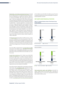Depreciation, amortisation and impairment losses increased by 34.3 million euros to 73.5 million euros due to the 29.6 million euro impairment of a right-of-use asset for a fibre-optic network at EXARING. This means that the right-of-use asset – which was capitalised for 68.9 million euros as part of the purchase price allocation carried out when EXARING was fully consolidated in 2015 and was subsequently subject to depreciation – has been impaired to a carrying amount of 0 euros. Using a dedicated fibre-optic network to operate the waipu.tv television platform gave EXARING a competitive advantage in terms of transmission quality and lower refluit defining on terms of elements and the latest market developments will enable EXARING to rent the fibreoptic capacity it needs externally at lower operating costs and without any loss in quality for customers in the future. As a result, EXARING has decided to discontinue operating cost and labour-intensive surplus network capacity on a day-to-day basis.

The financial result improved by 3.3 million euros to –7.3 million euros compared to the second quarter of 2020. The decrease in interest expenses included in the financial result (Q2/2021: 7.1 million euros; Q2/2020: 11.8 million euros) is mainly due to lower bank interest associated with the repayment of borrowings (see also "Net assets and financial position").

Due to the effects explained above, earnings before tax (EBT) amounted to 32.6 million euros, a decrease of 27.2 million euros year-on-year. Consolidated profit before tax for the first half of 2021 came to 92.8 million euros (H1/2020: 112.1 million euros).

Income from income tax of 0.1 million euros (Q2/2020: income tax expenses of 7.2 million euros) was shown in the quarter under review. Current tax expenses of 8.5 million euros (Q2/2020: 6.8 million euros) and deferred tax income of 8.6 million euros (Q2/2020: deferred tax expenses of 0.5 million euros) were recognised. The recognition of deferred tax income mainly arose in connection with the impairment loss on the network of EXARING.

Due to the increase in depreciation, amortisation and impairment losses, the consolidated profit reported in the second quarter of 2021 totalled only 32.8 million euros – after 58.1 million euros in the same period in 2020. Consolidated profit for the first half of 2021 was 82.5 million euros (H1/2020: 109.3 million euros). Without the impairment loss recognised on EXARING's right-of-use assets described above, consolidated profit would have risen to 112.1 million euros in the first half of the year. The prior-year period includes consolidated profit from discontinued operations of 11.0 million euros (H1/2021: 0.0 million euros). This item included all expenses and income attributable to the discontinued operations "Sunrise".

#### **NET ASSETS AND FINANCIAL POSITION**

#### Figure 4: Condensed balance sheet of the freenet Group (in EUR millions)

30.6.2021 31.3.2021 Assets 3,148.6 **Total assets 3,942.7 Total assets 4,242.8** 794.2 3,241.5 1,001.2 Non-current assets **Current assets** 



Total assets/total equity and liabilities amounted to 3,942.7 million euros as at 30 June 2021, a decrease of 300.0 million euros, or 7.1 per cent, compared with 31 March 2021 (4,242.8 million euros).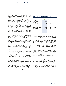On the assets side, non-current assets fell by 93.0 million euros to 3,148.6 million euros. The change is due on the one hand to a decrease in intangible assets of 33.0 million euros to 452.8 million euros, which is mainly related to the impairment loss of 29.6 million euros recognised on a right-of-use asset for the fibre-optic network of EXARING (see also "Revenue and results of operations"). On the other hand, there was a decrease in other financial assets of 26.5 million euros to 224.5 million euros mainly as a result of the lower market value of the CECONOMY investment measured at fair value (30 June 2021: 134.3 million euros, 31 March 2021: 161.3 million euros). This change is also due to a 19.6 million euro decline in contract acquisition costs to 248.1 million euros as a result of lower sales of mobile phone contracts via indirect sales channels triggered by the COVID-19-related closure of retail outlets.

In current assets, the decrease in liquid assets by 211.6 million euros to 288.9 million euros is noteworthy. This change mainly resulted from the dividend payment of 203.7 million euros made in the second quarter of 2021, the unscheduled repayment of several tranches of promissory note loans in the amount of 49.0 million euros, payments of 12.0 million euros made in connection with the share buyback program and the free cash flow of 52.7 million euros generated in the reporting period. The 31.5 million euro increase in trade accounts receivable to 190.0 million euros is mainly the result of the customary seasonal effect of deferring annual bonuses receivable from network operators.

The liabilities side was dominated by equity amounting to 1,628.3 million euros (31 March 2021: 1,833.1 million euros) and borrowings in the amount of 690.8 million euros (31 March 2021: 739.9 million euros). The equity ratio fell from 43.2 per cent at the end of March 2021 to 41.3 per cent at the end of June 2021, primarily due to the dividend paid out in the second quarter of 2021. The decrease in borrowings by 49.1 million euros to 690.8 million euros is attributable to the early repayment of three promissory note loan tranches in the amount of 49.0 million euros.

Trade accounts payable decreased by 33.5 million euros to 308.8 million euros. This was mainly attributable to balance sheet date-related effects in connection with liabilities to network operators and hardware suppliers.

#### **CASH FLOWS**

#### Table 7: Liquidity indicators for the Group

| <b>Q2/2021</b> | Q2/2020 | Change   |
|----------------|---------|----------|
| 85.9           | 120.1   | $-34.2$  |
| $-10.3$        | $-9.6$  | $-0.8$   |
| $-287.1$       | $-74.9$ | $-212.2$ |
| $-211.6$       | 35.6    | $-247.2$ |
| 52.7           | 90.8    | $-38.1$  |
| 52.7           | 47.4    | 5.3      |
|                |         |          |

Cash flows from operating activities decreased by 34.2 million euros to 85.9 million euros year-on-year (Q2/2020: 120.1 million euros), primarily due to the last dividend payment received from Sunrise in the previous year (Q2/2020: 46.0 million euros) before the Group sold all of its shares in Sunrise to Liberty Global plc in November 2020. The additional increase in net working capital of 2.3 million euros and the rise in tax payments of 1.8 million euros (Q2/2021: 9.0 million euros; Q2/2020: 7.2 million euros) also had an adverse impact on cash flows from operating activities compared to the second quarter of 2020. Conversely, in addition to a 3.8 million euro increase in EBITDA, the 12.7 million euros higher reduction in contract acquisition costs (consisting primarily of sales commissions paid) (Q2/2021: 19.6 million euros; Q2/2020: 6.9 million euros) had a positive effect on cash flows from operating activities.

Cash flows from investing activities amounted to –10.3 million euros in the second quarter of 2021 compared to –9.6 million euros in the prior-year quarter. The cash outflows for investments in intangible fixed assets and in property, plant and equipment, netted out against the cash inflows from the disposal of such assets, increased by 1.3 million euros year-on-year to 10.8 million euros. The cash investments were financed entirely out of the company's retained earnings.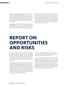<span id="page-25-0"></span>Cash flows from financing activities changed from –74.9 million euros in the prior-year quarter to –287.1 million euros in the period under review. This change is mainly attributable to the dividend payment of 203.7 million euros made in the second quarter of 2021 and the outflow of funds of 12.0 million euros in connection with the 2021 share buyback program.

Free cash flow of 52.7 million euros was generated in the second quarter of 2021 as a result of the developments explained above, representing a decrease of 38.1 million euros compared with the same quarter of the previous year

(90.8 million euros). Free cash flow for the first six months of 2021 came to 112.2 million euros (H1/2020: 140.7 million euros). Compared to free cash flow adjusted for the dividend from Sunrise (Q2/2020: 46.0 million euros) and corresponding interest payments on the syndicated bank loan (H1/2020: 5.6 million euros), free cash flow would have increased by 11.9 million euros in the reporting year (H1/2020: 100.3 million euros).

### **REPORT ON OPPORTUNITIES AND RISKS**

Since the beginning of the financial year, there have been no significant changes in relation to the risks associated with future business development. The opportunities and risks to which the freenet Group is exposed as part of its ongoing business activities were described in detail in the 2020 Annual Report (page 62 et seq.) and continue to apply in principle.

Lengthy production downtimes, supply chain disruption and unexpectedly high global demand for semiconductor products are causing supply bottlenecks for our device manufacturers. If insufficient numbers of devices are available for sales of mobile communications services, this could have a medium impact on revenue, EBITDA and free cash flow. Increased inventories, adapted supply management and short-term procurement measures mean that the risk to freenet AG is currently classified as low.

For more information on developments in the mobile communications and the TV/video market, please refer to the comments in the "Course of business" section.

As of 30 June 2021, there were still no risks in the "high" or "material" categories. In addition, no risks have been identified which, either individually or in combination with other risks, could endanger the continued existence of the freenet Group as a going concern. The potential effects on the current financial year continue to be qualified as minor. All assessments made continue to be dependent upon the duration and extent of the coronavirus crisis. It is still not possible to reliably and completely assess this.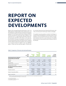### <span id="page-26-0"></span>**REPORT ON EXPECTED DEVELOPMENTS**

Based on the very good business performance in the TV & Media segment, the high stability of the mobile business, and the still positive outlook, the Executive Board increased the guidance for the financial performance indicators EBITDA and free cash flow for the full year 2021. EBITDA is now expected to be in a range between EUR 430 and 445 million (previously: EUR 415 to 435 million). In line with this, free cash flow is forecast to be between 215 and 230 million euros (previously: 200 to 220 million euros). Compared with the midpoint of the previous guidance, this corresponds to an increase of EUR 12.5 million in each case (EBITDA: approx. +3.0 per cent; free cash flow: approx. +6.0 per cent).

For all other financial and non-financial performance indicators, the forecast for the full year remains unchanged.

The updated corporate guidance considers the findings on overall economic development in Germany and the Corona pandemic in the second half of the year. If there are significant deviations from the current assessment, the guided financial and non-financial performance indicators may not be achieved.

#### Table 8: Comparison of forecast and actual performance

|                                                                           | 2020<br>reference<br>value | <b>Forecast</b><br>2021<br>(25.02.2021) | Confirma-<br>tion<br>of forecast<br>Q1/2021<br>and H1/2021 | <b>Forecast</b><br>increase<br>H1/2021 | H1/2021<br>(ACTUAL) | Change<br>compared<br>to forecast |
|---------------------------------------------------------------------------|----------------------------|-----------------------------------------|------------------------------------------------------------|----------------------------------------|---------------------|-----------------------------------|
| <b>Financial performance indicators</b><br>(in EUR millions/as indicated) |                            |                                         |                                                            |                                        |                     |                                   |
| Revenue                                                                   | 2,576.2                    | stable                                  | stable                                                     | stable                                 | 1,239.0             | $\rightarrow$                     |
| <b>EBITDA</b>                                                             | 425.9                      | $415 - 435$                             | $415 - 435$                                                | $430 - 445$                            | 222.3               | 个                                 |
| Free cash flow<br>(without Sunrise contribution) $1$                      | 201.3                      | $200 - 220$                             | $200 - 220$                                                | $215 - 230$                            | 112.2               | ↑                                 |
| Postpaid ARPU (in EUR)                                                    | 18.2                       | stable                                  | stable                                                     | stable                                 | 17.9                | $\rightarrow$                     |
| Non-financial performance indicators<br>(in millions)                     |                            |                                         |                                                            |                                        |                     |                                   |
| Postpaid customers                                                        | 7.079                      | moderate<br>growth                      | moderate<br>growth                                         | moderate<br>growth                     | 7.113               | $\rightarrow$                     |
| freenet TV subscribers (RGU)                                              | 0.902                      | moderate<br>decrease                    | moderate<br>decrease                                       | moderate<br>decrease                   | 0.845               | $\rightarrow$                     |
| waipu.tv subscribers                                                      | 0.572                      | solid<br>growth                         | solid<br>growth                                            | solid<br>growth                        | 0.645               | $\rightarrow$                     |

1 2020 free cash flow adjusted for dividend from Sunrise (2020: 46.0 million euros) and corresponding interest payments on the syndicated bank loan (2020: approx. 10 million euros).

above previous guidance

unchanged from previous guidance

 $\bullet$  below previous guidance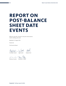### <span id="page-27-0"></span>**REPORT ON POST-BALANCE SHEET DATE EVENTS**

Effective 2 July 2021, all shares in the joint venture Jestoro GmbH, Hamburg, were sold.

Büdelsdorf, 12 August 2021

freenet AG

The Executive Board

Chistoph Vilanek Jup Swell 8Mdl

 $R_{\alpha}$  $A.$  3- $-$ -C

Antonius Fromme Rickmann v. Platen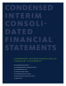## CONDENSED INTERIM CONSOLI-**DATE** FINANCIAL STATEMENTS

#### C O N D E N S E D I N T E R I M C O N S O L I D A T E D FIN A N C I A L S T A T E M E N T S

- [28 | Consolidated income statement](#page-29-0)
- [29 | Consolidated statement of comprehensive income](#page-30-0)
- [30 | Consolidated balance sheet](#page-31-0)
- [32 | Statement of changes in equity](#page-33-0)
- [34 | Consolidated statement of cash flows](#page-35-0)
- [36 | Selected explanatory notes pursuant to IAS 34](#page-37-0)
- 42 | Segment report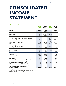### <span id="page-29-0"></span>**[CONSOLIDATED](#page-0-0)  INCOME STATEMENT**

#### **1 JANUARY TO 30 JUNE 2021**

| In EUR '000s / as indicated                                                  | H1/2021<br>1.1.2021-<br>30.6.2021 | H1/2020<br>1.1.2020-<br>30.6.2020<br>restated <sup>1</sup> | <b>Q2/2021</b><br>$1.4.2021 -$<br>30.6.2021 | Q2/2020<br>1.4.2020-<br>30.6.2020<br>restated $1$ |
|------------------------------------------------------------------------------|-----------------------------------|------------------------------------------------------------|---------------------------------------------|---------------------------------------------------|
| Revenue                                                                      | 1,239,009                         | 1,270,980                                                  | 619,858                                     | 622,135                                           |
| Other operating income                                                       | 20,195                            | 24,040                                                     | 10,602                                      | 10,599                                            |
| Other own work capitalised                                                   | 10,737                            | 9,054                                                      | 5,392                                       | 4,748                                             |
| Cost of materials                                                            | $-814,712$                        | $-845,241$                                                 | $-409,605$                                  | $-409,597$                                        |
| Personnel expenses                                                           | $-105,843$                        | $-112,382$                                                 | $-55,374$                                   | $-54,015$                                         |
| Other operating expenses                                                     | $-127,073$                        | $-132,509$                                                 | $-57,390$                                   | $-64,172$                                         |
| Thereof loss allowances on financial assets and contract assets              | $-16,095$                         | $-20,523$                                                  | $-7,435$                                    | $-10,620$                                         |
| Thereof without loss allowances on financial assets and contract assets      | $-110,978$                        | $-111,986$                                                 | $-49,955$                                   | $-53,552$                                         |
| EBITDA <sup>2</sup>                                                          | 222,313                           | 213,942                                                    | 113,483                                     | 109,698                                           |
| Depreciation, amortisation and impairment                                    | $-113,300$                        | $-78,543$                                                  | $-73,501$                                   | $-39,211$                                         |
| EBIT <sup>3</sup>                                                            | 109,013                           | 135,399                                                    | 39,982                                      | 70,487                                            |
| Profit or loss of equity-accounted investments                               | $-898$                            | 29                                                         | $-381$                                      | 38                                                |
| Thereof from share of profit or loss                                         | $-898$                            | 29                                                         | $-381$                                      | 38                                                |
| Interest and similar income                                                  | 1,099                             | 1,256                                                      | 524                                         | 639                                               |
| Interest and similar expenses                                                | $-15,568$                         | $-24.545$                                                  | $-7,116$                                    | $-11,756$                                         |
| Other financial result                                                       | $-874$                            | $-60$                                                      | $-368$                                      | 422                                               |
| <b>Financial result</b>                                                      | $-16,241$                         | $-23,320$                                                  | $-7,341$                                    | $-10,657$                                         |
| <b>EBT</b>                                                                   | 92,772                            | 112,079                                                    | 32,641                                      | 59,830                                            |
| Income taxes                                                                 | $-10,253$                         | $-13,789$                                                  | 124                                         | $-7,244$                                          |
| Consolidated profit/loss from continuing operations                          | 82,519                            | 98,290                                                     | 32,765                                      | 52,586                                            |
| Consolidated profit/loss from discontinued operations                        | $\Omega$                          | 11,016                                                     | $\Omega$                                    | 5,508                                             |
| <b>Consolidated profit</b>                                                   | 82,519                            | 109,306                                                    | 32,765                                      | 58,094                                            |
| Consolidated profit attributable to shareholders of freenet AG               | 91,806                            | 112,412                                                    | 41,651                                      | 59,413                                            |
| Consolidated profit attributable to non-controlling interests                | $-9,287$                          | $-3,106$                                                   | $-8,886$                                    | $-1,319$                                          |
| Earnings per share (EPS) in EUR (basic/diluted)                              | 0.74                              | 0.88                                                       | 0.34                                        | 0.47                                              |
| EPS from continuing operations in EUR (basic/diluted)                        | 0.74                              | 0.79                                                       | 0.34                                        | 0.42                                              |
| EPS from discontinued operations in EUR (basic/diluted)                      | 0.00                              | 0.09                                                       | 0.00                                        | 0.05                                              |
| Weighted average number of shares outstanding<br>in thousand (basic/diluted) | 124,026                           | 128,011                                                    | 123,444                                     | 128,011                                           |

<sup>1</sup> Retrospective restatement of comparatives for the first half of 2020 and second quarter of 2020

due to discontinued Sunrise operations in accordance with IFRS 5. 2 EBITDA = earnings before interest, taxes, depreciation, amortisation and impairment.

3 EBIT = earnings before financial result and taxes.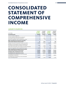### <span id="page-30-0"></span>**[CONSOLIDATED](#page-0-0)  STATEMENT OF COMPREHENSIVE INCOME**

#### **1 JANUARY TO 30 JUNE 2021**

| In EUR '000s                                                                                                          | H1/2021<br>$1.1.2021 -$<br>30.6.2021 | H1/2020<br>$1.1.2020 -$<br>30.6.2020 | <b>Q2/2021</b><br>$1.4.2021 -$<br>30.6.2021 | O2/2020<br>$1.4.2020 -$<br>30.6.2020 |
|-----------------------------------------------------------------------------------------------------------------------|--------------------------------------|--------------------------------------|---------------------------------------------|--------------------------------------|
| <b>Consolidated profit</b>                                                                                            | 82,519                               | 109,306                              | 32,765                                      | 58,094                               |
| Currency translation differences                                                                                      | 51                                   | $-182$                               | 4                                           | $-37$                                |
| Currency translation differences from subsequent<br>accounting for equity-accounted investments                       | $\Omega$                             | 1.862                                | $\Omega$                                    | $-734$                               |
| Income tax recognised in other comprehensive income                                                                   | $\Omega$                             | $-28$                                | $\Omega$                                    | 11                                   |
| Other comprehensive income/to be reclassified<br>to the income statement in future periods                            | 51                                   | 1,652                                | 4                                           | $-760$                               |
| Change in fair value of investments in equity instruments                                                             | $-37.867$                            | $-77,604$                            | $-22.434$                                   | 36,358                               |
| Recognition of actuarial gains and losses arising from the<br>accounting for pension plans according to IAS 19 (2011) | 7,490                                | 2,702                                | 384                                         | $-5,027$                             |
| Other shares of the profit or loss of equity-accounted investments                                                    | $\Omega$                             | $-2,180$                             | $\mathbf{0}$                                | $-2,180$                             |
| Income tax recognised in other comprehensive income                                                                   | $-1,701$                             | 391                                  | 224                                         | 1,005                                |
| Other comprehensive income/not to be reclassified<br>to the income statement in future periods                        | $-32,078$                            | $-76,691$                            | $-21,826$                                   | 30,156                               |
| <b>Cumulative other comprehensive income</b>                                                                          | $-32,027$                            | $-75,039$                            | $-21,822$                                   | 29,396                               |
| Consolidated total comprehensive income                                                                               | 50,492                               | 34,267                               | 10,943                                      | 87,490                               |
| Consolidated total comprehensive income attributable<br>to shareholders of freenet AG                                 | 59,779                               | 37,373                               | 19,829                                      | 88,809                               |
| Consolidated total comprehensive income attributable<br>to non-controlling interests                                  | $-9,287$                             | $-3,106$                             | $-8.886$                                    | $-1,319$                             |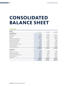### <span id="page-31-0"></span>**CONSOLIDATED BALANCE SHEET**

#### **30. JUNE 2021**

| <b>ASSETS</b><br>In EUR '000s      | 30.6.2021 | 31.3.2021 | 31.12.2020 |
|------------------------------------|-----------|-----------|------------|
| <b>Non-current assets</b>          |           |           |            |
| Intangible assets                  | 452,823   | 485,800   | 494,722    |
| Lease assets                       | 413,443   | 426,028   | 441,342    |
| Goodwill                           | 1,382,394 | 1,382,394 | 1,382,394  |
| Property, plant and equipment      | 134,157   | 137,321   | 140,475    |
| Equity-accounted investments       | 940       | 1,821     | 2,088      |
| Deferred income tax assets         | 133,559   | 124,687   | 129,440    |
| Trade accounts receivable          | 65,167    | 64,604    | 63,678     |
| Other receivables and other assets | 93,452    | 100,096   | 107,015    |
| Other financial assets             | 224,509   | 251,043   | 270,400    |
| Contract acquisition costs         | 248,114   | 267,735   | 289,335    |
|                                    | 3,148,558 | 3,241,529 | 3,320,889  |
| <b>Current assets</b>              |           |           |            |
| Inventories                        | 69,478    | 87,680    | 74,751     |
| Current income tax assets          | 2,081     | 2,056     | 2,103      |
| Trade accounts receivable          | 190,032   | 158,508   | 189,262    |
| Other receivables and other assets | 190,594   | 198,772   | 203,033    |
| Other financial assets             | 53,065    | 53,751    | 48,729     |
| Liquid assets                      | 288,902   | 500,460   | 666,867    |
|                                    | 794,152   | 1,001,227 | 1,184,745  |
|                                    | 3,942,710 | 4,242,756 | 4,505,634  |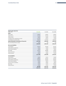| <b>EQUITY AND LIABILITIES</b><br>In EUR '000s     | 30.6.2021  | 31.3.2021 | 31.12.2020 |
|---------------------------------------------------|------------|-----------|------------|
| <b>Equity</b>                                     |            |           |            |
| Share capital                                     | 128,061    | 128,061   | 128,061    |
| Capital reserve                                   | 737,536    | 737,536   | 737,536    |
| Treasury shares                                   | $-90,961$  | $-78,945$ | $-51,420$  |
| Cumulative other comprehensive income             | $-107,545$ | $-85,723$ | $-75,518$  |
| Consolidated net retained profits                 | 969,933    | 1,132,016 | 1,081,861  |
| Equity attributable to shareholders of freenet AG | 1,637,024  | 1,832,945 | 1,820,520  |
| Non-controlling interests in equity               | $-8,728$   | 158       | 559        |
|                                                   | 1,628,296  | 1,833,103 | 1,821,079  |
| <b>Non-current liabilities</b>                    |            |           |            |
| Lease liabilities                                 | 418,734    | 434,700   | 451,452    |
| Other liabilities and deferrals                   | 93,162     | 99,358    | 108,790    |
| Other financial liabilities                       | 29,410     | 32,446    | 36,941     |
| <b>Borrowings</b>                                 | 636,327    | 686,086   | 734,826    |
| Pension provisions                                | 95,309     | 95,330    | 103,508    |
| Other provisions                                  | 45,004     | 44,286    | 43,718     |
|                                                   | 1,317,946  | 1,392,206 | 1,479,235  |
| <b>Current liabilities</b>                        |            |           |            |
| Lease liabilities                                 | 85,402     | 85,135    | 85,209     |
| Trade accounts payable                            | 308,816    | 342,362   | 379,323    |
| Other liabilities and deferrals                   | 426,429    | 406,593   | 404,847    |
| Other financial liabilities                       | 49,661     | 60,870    | 63,438     |
| Current income tax liabilities                    | 40,087     | 40,943    | 38,943     |
| <b>Borrowings</b>                                 | 54,430     | 53,797    | 206,001    |
| Other provisions                                  | 31,643     | 27,747    | 27,559     |
|                                                   | 996,468    | 1,017,447 | 1,205,320  |
|                                                   | 3,942,710  | 4,242,756 | 4,505,634  |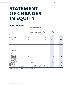### <span id="page-33-0"></span>**[STATEMENT](#page-0-0) OF CHANGES IN EQUITY**

#### **1 JANUARY TO 30 JUNE 2020**

|                                                                                                                   |                  |                    |             |                                                                                                                                                      | Cumulative other comprehensive income                                 |                                                        |                                                                                    |                                         |                                                                 |                                               |                 |
|-------------------------------------------------------------------------------------------------------------------|------------------|--------------------|-------------|------------------------------------------------------------------------------------------------------------------------------------------------------|-----------------------------------------------------------------------|--------------------------------------------------------|------------------------------------------------------------------------------------|-----------------------------------------|-----------------------------------------------------------------|-----------------------------------------------|-----------------|
| In EUR '000s                                                                                                      | Share<br>capital | Capital<br>reserve |             | Currency<br>translation<br>differences<br>from<br>subsequent<br>Currency accounting for<br>translation equity-account-<br>differences ed investments | Change in fair<br>value of<br>investments<br>in equity<br>instruments | Revaluation<br>reserve in<br>accordance<br>with IAS 19 | Other shares<br>of the profit<br>or loss of<br>equity-<br>accounted<br>investments | Consolidated<br>net retained<br>profits | Equity<br>attributable<br>to share-<br>holders of<br>freenet AG | Non-<br>controlling<br>interests<br>in equity | Equity          |
| As of 1.1.2020                                                                                                    | 128,061          | 737,536            | 966         | $-5,527$                                                                                                                                             | $-52,304$                                                             | $-29,127$                                              | 11,710                                                                             |                                         | 521,031 1,312,346                                               |                                               | 9,255 1,321,601 |
| Dividend payment                                                                                                  | $\mathbf 0$      | $\mathbf 0$        | $\mathbf 0$ | $\mathbf 0$                                                                                                                                          | $\mathbf 0$                                                           | $\mathbf 0$                                            | $\mathbf 0$                                                                        | $-5,120$                                | $-5,120$                                                        | 0                                             | $-5,120$        |
| Consolidated<br>profit                                                                                            | $\mathbf 0$      | 0                  | 0           | 0                                                                                                                                                    | 0                                                                     | 0                                                      | 0                                                                                  | 112,412                                 | 112,412                                                         | $-3,106$                                      | 109,306         |
| Change in fair<br>value of invest-<br>ments in equity<br>instruments <sup>1</sup>                                 | $\mathbf 0$      | 0                  | 0           | $\mathbf 0$                                                                                                                                          | $-76,428$                                                             | $\mathbf 0$                                            | 0                                                                                  | $\mathbf{0}$                            | $-76,428$                                                       | 0                                             | $-76,428$       |
| Other shares<br>of the profit or<br>loss of equity-<br>accounted<br>investments $1$                               | $\boldsymbol{0}$ | 0                  | 0           | $\mathbf 0$                                                                                                                                          | $\mathbf 0$                                                           | $\boldsymbol{0}$                                       | $-2,147$                                                                           | $\mathbf 0$                             | $-2,147$                                                        | $\mathsf{O}\xspace$                           | $-2,147$        |
| Recognition of<br>actuarial gains<br>and losses accord-<br>ing to IAS 19<br>$(2011)^1$                            | $\boldsymbol{0}$ | $\mathbf 0$        | 0           | $\mathbf 0$                                                                                                                                          | $\mathbf 0$                                                           | 1,884                                                  | 0                                                                                  | $\mathbf 0$                             | 1,884                                                           | 0                                             | 1,884           |
| Currency transla-<br>tion differences <sup>1</sup>                                                                | 0                | 0                  | $-182$      | 0                                                                                                                                                    | 0                                                                     | $\boldsymbol{0}$                                       | $\mathsf 0$                                                                        | $\mathbf 0$                             | $-182$                                                          | 0                                             | $-182$          |
| Currency transla-<br>tion differences<br>from subsequent<br>accounting for<br>equity-accounted<br>investments $1$ | $\mathbf 0$      | $\mathbf 0$        | 0           | 1,834                                                                                                                                                | $\mathbf 0$                                                           | 0                                                      | $\mathsf 0$                                                                        | $\mathbf 0$                             | 1,834                                                           | $\mathbf 0$                                   | 1,834           |
| Consolidated total<br>comprehensive<br>income                                                                     | $\mathbf{0}$     | $\mathbf 0$        | $-182$      | 1,834                                                                                                                                                | $-76,428$                                                             | 1,884                                                  | $-2,147$                                                                           | 112,412                                 | 37,373                                                          | $-3,106$                                      | 34,267          |
| As of 30.6.2020                                                                                                   | 128,061          | 737,536            | 784         |                                                                                                                                                      | $-3,693 - 128,732$                                                    | $-27,243$                                              | 9,563                                                                              |                                         | 628,323 1,344,599                                               |                                               | 6,149 1,350,748 |

1 Figures are shown offset against income tax recognised in other comprehensive income.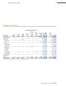#### **1 JANUARY TO 30 JUNE 2021**

|                                                                                               |                  |                    |                           |                                        | Cumulative other comprehensive income                                 |                                                        |                                         |                                                            |                                               |            |
|-----------------------------------------------------------------------------------------------|------------------|--------------------|---------------------------|----------------------------------------|-----------------------------------------------------------------------|--------------------------------------------------------|-----------------------------------------|------------------------------------------------------------|-----------------------------------------------|------------|
| In EUR '000s                                                                                  | Share<br>capital | Capital<br>reserve | <b>Treasury</b><br>shares | Currency<br>translation<br>differences | Change in fair<br>value of<br>investments<br>in equity<br>instruments | Revaluation<br>reserve in<br>accordance<br>with IAS 19 | Consolidated<br>net retained<br>profits | Equity<br>attributable to<br>shareholders<br>of freenet AG | Non-<br>controlling<br>interests<br>in equity | Equity     |
| As of 1.1.2021                                                                                | 128,061          | 737,536            | $-51,420$                 | 679                                    | $-42,873$                                                             | $-33,324$                                              | 1,081,861                               | 1,820,520                                                  | 559                                           | 1,821,079  |
| Dividend payment                                                                              | $\mathbf 0$      | 0                  | $\mathbf{0}$              | $\mathbf{0}$                           | 0                                                                     | 0                                                      | $-203,734$                              | $-203,734$                                                 | 0                                             | $-203,734$ |
| Acquisition of<br>treasury shares                                                             | 0                | 0                  | $-39,541$                 | 0                                      | 0                                                                     | 0                                                      | 0                                       | $-39,541$                                                  | 0                                             | $-39,541$  |
| Consolidated<br>profit                                                                        | 0                | 0                  | 0                         | 0                                      | $\mathbf 0$                                                           | 0                                                      | 91,806                                  | 91,806                                                     | $-9,287$                                      | 82,519     |
| Change in fair<br>value of invest-<br>ments in equity<br>instruments $1$                      | $\mathbf 0$      | $\mathbf 0$        | $\mathbf{0}$              | $\mathbf{0}$                           | $-37,291$                                                             | 0                                                      | 0                                       | $-37,291$                                                  | $\mathbf 0$                                   | $-37,291$  |
| Recognition of<br>actuarial gains<br>and losses<br>according to<br>IAS 19 (2011) <sup>1</sup> | $\mathbf 0$      | 0                  | $\mathbf 0$               | 0                                      | 0                                                                     | 5,213                                                  | 0                                       | 5,213                                                      | 0                                             | 5,213      |
| Currency transla-<br>tion differences <sup>1</sup>                                            | $\mathbf 0$      | 0                  | 0                         | 51                                     | 0                                                                     | 0                                                      | 0                                       | 51                                                         | 0                                             | 51         |
| Consolidated total<br>comprehensive<br>income                                                 | $\mathbf 0$      | $\mathbf 0$        | $\mathbf 0$               | 51                                     | $-37,291$                                                             | 5,213                                                  | 91,806                                  | 59,779                                                     | $-9,287$                                      | 50,492     |
| As of 30.6.2021                                                                               | 128,061          | 737,536            | $-90,961$                 | 730                                    | $-80,164$                                                             | $-28,111$                                              | 969,933                                 | 1,637,024                                                  | $-8,728$                                      | 1,628,296  |

1 Figures are shown offset against income tax recognised in other comprehensive income.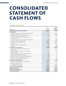### <span id="page-35-0"></span>**[CONSOLIDATED](#page-0-0)  STATEMENT OF CASH FLOWS**

#### **1 JANUARY TO 30 JUNE 2021**

| In EUR '000s                                                                             | H1/2021<br>$1.1.2021 -$<br>30.6.2021 | H1/2020<br>$1.1.2020 -$<br>30.6.2020 |
|------------------------------------------------------------------------------------------|--------------------------------------|--------------------------------------|
| <b>EBIT (earnings before financial result and taxes)</b>                                 | 109,013                              | 135,399                              |
| +/- Adjustments:                                                                         |                                      |                                      |
| Depreciation, amortisation and impairment of non-current assets                          | 113,300                              | 78.543                               |
| Dividends received from equity-accounted investments                                     | $\Omega$                             | 46,047                               |
| Gains/losses on disposal of non-current assets                                           | $-214$                               | 386                                  |
| Increase in net working capital not attributable to investing<br>or financing activities | $-61,576$                            | $-45,708$                            |
| Proceeds from the cash repayment of financial assets under leases                        | 7,590                                | 7,400                                |
| Capitalisation of contract acquisition costs                                             | $-107,255$                           | $-145,052$                           |
| Amortisation of contract acquisition costs                                               | 148,476                              | 158,122                              |
| Tax payments                                                                             | $-14,942$                            | $-13,712$                            |
| Income from interest and other financial result                                          | 512                                  | 943                                  |
| Interest paid                                                                            | $-20.004$                            | $-24,078$                            |
| <b>Cash flows from operating activities</b>                                              | 174,900                              | 198,290                              |
| Payments to acquire property, plant and equipment and<br>intangible assets               | $-21,631$                            | $-18,024$                            |
| Proceeds from disposal of intangible assets and property,<br>plant and equipment         | 2,233                                | 728                                  |
| Payments to acquire/proceeds from acquiring subsidiaries                                 | $\Omega$                             | $-25$                                |
| Proceeds from deconsolidation of subsidiaries                                            | 2,000                                | $\Omega$                             |
| Repayment of contributions of equity-accounted investments                               | 1,000                                | 250                                  |
| Payments into equity of equity-accounted investments                                     | $-750$                               | $\Omega$                             |
| Payments to acquire other equity investments                                             | $-96$                                | $-368$                               |
| <b>Cash flows from investing activities</b>                                              | $-17,244$                            | $-17,439$                            |
| Payments to company owners and minority shareholders                                     | $-203,734$                           | $-5,120$                             |
| Payments to acquire own shares                                                           | $-39,541$                            | $\Omega$                             |
| Cash repayments of borrowings                                                            | $-249,000$                           | $-50,000$                            |
| Cash repayments of lease liabilities                                                     | $-43,346$                            | $-40,322$                            |
| <b>Cash flows from financing activities</b>                                              | $-535,621$                           | $-95,442$                            |
| Net change in cash funds                                                                 | $-377,965$                           | 85,409                               |
| Cash funds at beginning of period                                                        | 666,867                              | 133,692                              |
| Cash funds at end of period                                                              | 288,902                              | 219,101                              |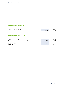#### **COMPOSITION OF CASH FUNDS**

| In EUR '000s                           | 30.6.2021 | 30.6.2020 |
|----------------------------------------|-----------|-----------|
| Liquid assets of continuing operations | 288,902   | 219,101   |
|                                        | 288,902   | 219,101   |

#### **COMPOSITION OF FREE CASH FLOW1**

| In EUR $'000s$                                                                | 30.6.2021 | 30.6.2020 |
|-------------------------------------------------------------------------------|-----------|-----------|
| Cash flows from operating activities                                          | 174,900   | 198,290   |
| Payments to acquire property, plant and equipment and intangible assets       | $-21.631$ | $-18.024$ |
| Proceeds from disposal of intangible assets and property, plant and equipment | 2.233     | 728       |
| Cash repayments of lease liabilities                                          | $-43.346$ | $-40.322$ |
| Free cash flow                                                                | 112.156   | 140,672   |

1 Free cash flow is an alternative performance measure that is defined in the corporate management section of the 2020 Annual Report.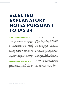### <span id="page-37-0"></span>**SELECTED EXPLANATORY NOTES PURSUANT TO IAS 34**

#### **MATERIAL ACCOUNTING POLICIES AND CONSOLIDATION PRINCIPLES**

1. These condensed consolidated interim financial statements have been prepared in accordance with Regulation 1606/2002 of the European Parliament and of the Council, International Financial Reporting Standards (IFRSs) adopted by the European Union and IAS 34. The Group has taken into account all IFRSs that have been adopted by the EU and are mandatory. These interim consolidated financial statements have not been reviewed by an auditor. The Group has adopted all accounting pronouncements required to be applied as of the reporting date.

Taking into account the ongoing Covid crisis, the material estimates and assumptions have remained unchanged compared with the consolidated financial statements for 2020.

#### **SIGNIFICANT EVENTS AND TRANSACTIONS**

2. As at 30 June 2021, receivables originating from the existing factoring agreement regarding receivables from the mobile phone upgrade option amounting to 83.1 million euros (31 December 2020: 103.3 million euros) were sold and derecognised but not yet paid.

3. In addition to the scheduled repayment of a promissory note loan in the amount of 200.0 million euros in the first quarter of 2021, three tranches of several promissory note loans totalling 49.0 million euros were repaid ahead of schedule in the second quarter of 2021.

4. Depreciation, amortisation and impairment losses increased by 34.3 million euros to 73.5 million euros yearon-year due to the 29.6 million euros impairment of a rightof-use asset for a fibre-optic network at EXARING. This means that the right-of-use asset – which was capitalised for 68.9 million euros as part of the purchase price allocation carried out when EXARING was fully consolidated in 2015 and was subsequently subject to depreciation – has been impaired to a carrying amount of 0 euros. Using a dedicated fibre-optic network to operate the waipu.tv television platform gave EXARING a competitive advantage in terms of transmission quality and lower latencies (short transmission times). However, the latest market developments will enable EXARING to rent the fibre-optic capacity it needs externally at lower operating costs and without any loss in quality for customers in the future. As a result, EXARING has decided to discontinue operating cost and labour-intensive surplus network capacity on a day-to-day basis.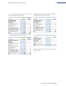5. The following significant transactions took place between the Group and related parties:

| In EUR '000s                                          | 1.1.2021 –<br>30.6.2021 | 1.1.2020 –<br>30.6.2020 |
|-------------------------------------------------------|-------------------------|-------------------------|
| <b>Revenue attributable</b><br>to billing of services |                         |                         |
| Joint ventures                                        |                         |                         |
| Jestoro GmbH, Hamburg                                 | 183                     | 222                     |
| Antenne Deutschland<br>GmbH & Co KG                   | 2,251                   | 0                       |
| Bayern Digital Radio GmbH <sup>1</sup>                | 219                     | 214                     |
| Non-consolidated companies                            |                         |                         |
| Digital Radio Südwest GmbH                            | $\Omega$                | 168                     |
| Hessen Digital Radio GmbH                             | 474                     | 451                     |
| Total                                                 | 3,127                   | 1,055                   |

1 The joint venture Bayern Digital Radio GmbH has been included in the consol-idated financial statements of freenet AG since 1 January 2021.

| In EUR '000s                                                        | $1.1.2021 -$<br>30.6.2021 | $1.1.2020 -$<br>30.6.2020 |
|---------------------------------------------------------------------|---------------------------|---------------------------|
| <b>Expenses from the purchase</b><br>of services                    |                           |                           |
| Joint ventures                                                      |                           |                           |
| Check Tech Service GmbH,<br>Hamburg<br>(Subsidiary of Jestoro GmbH) | 35                        | 44                        |
| Antenne Deutschland<br>GmbH & Co KG                                 | 75                        | 0                         |
| Bayern Digital Radio GmbH                                           | 277                       | 46                        |
| Non-consolidated companies                                          |                           |                           |
| Hessen Digital Radio GmbH                                           | 71                        | 17                        |
| Total                                                               | 458                       | 107                       |

The following significant receivables from and liabilities to related parties existed as at 30 June 2021:

| In EUR '000s                                            | 30.6.2021 | 30.6.2020      |
|---------------------------------------------------------|-----------|----------------|
| <b>Receivables from current</b><br>service transactions |           |                |
| Joint ventures                                          |           |                |
| Jestoro GmbH, Hamburg                                   | 32        | $\Delta\Delta$ |
| Antenne Deutschland<br>GmbH & Co KG                     | 34        |                |
| Non-consolidated companies                              |           |                |
| Digital Radio Südwest GmbH                              | $\Omega$  | 33             |
| Hessen Digital Radio GmbH                               | $\Omega$  | 89             |
| Total                                                   | 66        | 166            |

| In EUR '000s                                                        | 30.6.2021 | 30.6.2020 |
|---------------------------------------------------------------------|-----------|-----------|
| <b>Liabilities from current</b><br>service transactions             |           |           |
| Joint ventures                                                      |           |           |
| Check Tech Service GmbH,<br>Hamburg<br>(Subsidiary of Jestoro GmbH) | $\Omega$  | 6         |
| Total                                                               | 0         |           |

All transactions were based on market prices. No collateral has been provided.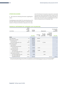#### **OTHER DISCLOSURES**

6. We provide the following information regarding fair values:

The following overview entitled "Fair value hierarchy as at 30 June 2021" shows the major parameters on which the measurement of financial instruments measured at fair value, and of the financial instruments measured at amortised cost whose fair value could be determined, is based. For the definition of the individual levels in accordance with IFRS 13, please refer to the notes to the consolidated financial statements of freenet AG as of 31 December 2020.

#### **FINANCIAL INSTRUMENTS BY CATEGORY AS OF 30 JUNE 2021**

| In EUR '000s                                     | <b>IFRS9</b><br>measure-<br>ment<br>category | Carrying<br>amount |                   | Measurement                             |                                                        | Fair value of fi-<br>nancial<br>instruments |
|--------------------------------------------------|----------------------------------------------|--------------------|-------------------|-----------------------------------------|--------------------------------------------------------|---------------------------------------------|
|                                                  |                                              | 30.6.2021          | Amortised<br>cost | Fair value<br>through<br>profit or loss | Fair value<br>through other<br>comprehensive<br>income | 30.6.2021                                   |
| <b>Assets</b>                                    |                                              |                    |                   |                                         |                                                        |                                             |
| Cash / liquid assets                             | AC                                           | 288,902            | 288,902           |                                         |                                                        | $-1$                                        |
| Trade accounts receivable                        |                                              | 255,199            |                   |                                         |                                                        |                                             |
| At amortised cost                                | AC                                           | 137,931            | 137,931           |                                         |                                                        | $-^1$                                       |
| Fair value through profit or loss                | <b>FVTPL</b>                                 | 117,268            |                   | 117,268                                 |                                                        | $-1$                                        |
| Other financial assets                           |                                              | 277,574            |                   |                                         |                                                        |                                             |
| Lease liabilities                                | n/a                                          | 63,890             |                   |                                         |                                                        |                                             |
| Non-derivative financial assets                  |                                              |                    |                   |                                         |                                                        |                                             |
| At amortised cost                                | AC.                                          | 23,356             | 23,356            |                                         |                                                        | $-1$                                        |
| Other financial assets                           |                                              |                    |                   |                                         |                                                        |                                             |
| At amortised cost                                | AC                                           | 15,884             | 15,884            |                                         |                                                        | $-1$                                        |
| Fair value through profit or loss                | <b>FVTPL</b>                                 | 16,688             |                   | 16,688                                  |                                                        |                                             |
| Other equity instruments                         |                                              |                    |                   |                                         |                                                        |                                             |
| Fair value through profit or loss                | <b>FVTPL</b>                                 | 1,046              |                   | 1,046                                   |                                                        | $-1$                                        |
| Fair value through other<br>comprehensive income | <b>FVOCI</b>                                 | 156,710            |                   |                                         | 156,710                                                | 156,710                                     |

No fair value has been determined for the items; however, the carrying amount is a reasonable approximation of the fair value. This means that the aggregate ("It") No fair value for the measurement categories AC and FVTPL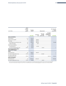| In EUR '000s                                         | measure-<br>ment<br>category | Carrying<br>amount |                   | Measurement                             |                                                               | Fair value of fi-<br>nancial<br>instruments |
|------------------------------------------------------|------------------------------|--------------------|-------------------|-----------------------------------------|---------------------------------------------------------------|---------------------------------------------|
|                                                      |                              | 30.6.2021          | Amortised<br>cost | Fair value<br>through<br>profit or loss | <b>Fair value</b><br>through other<br>comprehensive<br>income | 30.6.2021                                   |
| <b>Equity and liabilities</b>                        |                              |                    |                   |                                         |                                                               |                                             |
| Lease liabilities                                    | n/a                          | 504,136            |                   |                                         |                                                               |                                             |
| Trade accounts payable                               | AC                           | 308,816            | 308,816           |                                         |                                                               |                                             |
| <b>Borrowings</b>                                    |                              | 690,757            | 690,757           |                                         |                                                               |                                             |
| Borrowings from promissory notes                     | AC                           | 686,285            | 686,285           |                                         |                                                               | 701,940                                     |
| Other borrowings                                     | AC                           | 4,472              | 4,472             |                                         |                                                               |                                             |
| Other financial liabilities                          |                              | 79,071             |                   |                                         |                                                               |                                             |
| At amortised cost                                    | AC                           | 54,749             | 54,749            |                                         |                                                               |                                             |
| Fair value through profit or loss                    | <b>FVTPL</b>                 | 24,322             |                   | 24,322                                  |                                                               | $-1$                                        |
| Thereof aggregated by IFRS 9<br>measurement category |                              |                    |                   |                                         |                                                               |                                             |
| <b>Assets</b>                                        |                              |                    |                   |                                         |                                                               |                                             |
| At amortised cost                                    | AC                           | 466,073            | 466,073           |                                         |                                                               | $-1$                                        |
| Fair value through profit or loss                    | <b>FVTPL</b>                 | 135,002            |                   | 135,002                                 |                                                               | $-1$                                        |
| Fair value through other<br>comprehensive income     | <b>FVOCI</b>                 | 156,710            |                   |                                         | 156,710                                                       | 156,710                                     |
| <b>Equity and liabilities</b>                        |                              |                    |                   |                                         |                                                               |                                             |
| At amortised cost                                    | AC                           | 1,054,322          | 1,054,322         |                                         |                                                               | 701,9401                                    |
| Fair value through profit or loss                    | <b>FVTPL</b>                 | 24,322             |                   | 24.322                                  |                                                               | $-1$                                        |

IFRS 9

No fair value has been determined for the items; however, the carrying amount is a reasonable approximation of the fair value. This means that the aggregate ("Ite air value for the measurement categories AC and FVTPL are c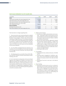#### **FAIR VALUE HIERARCHY AS OF 30 JUNE 2021**

| In EUR '000s                                                                  | <b>Total</b> | Level 1  | Level 2 | Level 3  |
|-------------------------------------------------------------------------------|--------------|----------|---------|----------|
| <b>Assets</b>                                                                 |              |          |         |          |
| Trade accounts receivable, at fair value through profit or loss               | 117,268      | 0        |         | 117,268  |
| Other financial assets, at fair value through profit or loss                  | 16,688       | 0        |         | 16,688   |
| Other equity instruments, at fair value through profit or loss                | 1.046        | $\Omega$ | 0       | 1,046    |
| Other equity instruments, at fair value through<br>other comprehensive income | 156,710      | 156,710  |         | $\Omega$ |
| <b>Equity and liabilities</b>                                                 |              |          |         |          |
| Borrowings from promissory notes                                              | 701,940      | $\Omega$ |         | 701,940  |
| Other financial liabilities, at fair value through profit or loss             | 24,322       | $\Omega$ |         | 24,322   |

There have been no changes regarding levels.

7. Pension provisions were remeasured based on updated interest rates (freenet, debitel program: 1.60 per cent, Media Broadcast Group program: 1.03 per cent), with premises remaining unchanged otherwise. The resulting actuarial gain of 7.5 million euros and the offsetting decrease in deferred tax assets by 1.7 million euros were recognised in the statement of comprehensive income. There was a net positive result of 5.8 million euros from items not to be reclassified to the income statement.

8. As in the 2020 consolidated financial statements, the calculation of current and deferred income taxes was based on an average tax rate of 30.40 per cent (30 June 2020: 30.30 percent).

9. The following events occurred after 30 June 2021: Effective 2 July 2021, all shares in the joint venture Jestoro GmbH, Hamburg, were sold.

10. As its main decision-making body, the Executive Board organises and manages the company on the basis of the differences between the individual products and services offered by the company. As the Group performs its business operations almost entirely in Germany, its business is not organised or managed based on geographical regions. The Group was active in the following operating segments in the first six months of 2021:

- Mobile Communications:
	- Activities as a mobile communications service provider – marketing of mobile communications services (voice and data services) from the mobile communications network operators Deutsche Telekom, Vodafone and Telefónica Deutschland
	- Based on the network operator agreements entered into with these network operators, a range of the company's own network-independent services and tariffs as well as a range of network operator tariffs
	- Sale/distribution of mobile communications devices as well as additional services for mobile data communications and digital lifestyle
	- Rendering of sales services
- TV and Media:
	- Rendering of services, mainly to end users, in the field of IPTV
	- Planning, project management, installation, operation, service and marketing of broadcast-related solutions for business clients in the radio and media sectors
	- Rendering of services to end users in the field of DVB-T2
- Other/Holding:
	- Rendering of portal services such as e-commerce/ advertising services (these essentially comprise the offer of online shopping and the marketing of advertising space on websites), of payment services for end customers as well as various digital products and entertainment formats for downloading and displaying and use on mobile devices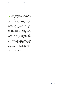- Development of communication solutions, IT solutions and other services for corporate customers
- Range of narrowband voice services (call-by-call, preselection) and data services
- Rendering of sales services

The "Other/Holding" segment includes other business activities in addition to operating activities. This mainly comprises the holding activities of freenet AG (with the rendering of services within the Group in central areas, such as legal, human resources and finance) as well as areas which cannot be clearly allocated to operating segments. The segment revenue of 21.6 million euros (previous year: 29.5 million euros) reported for the "Other/Holding" segment in the first six months of 2021 is attributable to operating activities (22.0 million euros; previous year: 29.9 million euros) and other business activities (-0.4 million euros; previous year: –0.4 million euros). Of the figure of 12.6 million euros (previous year: 22.3 million euros) reported as gross profit for the first six months of 2021 for the "Other/Holding" segment, 13.2 million euros (previous year: 22.9 million euros) is attributable to the operating activities and –0.6 million euros (previous year: –0.6 million euros) is attributable to the other business activities. The EBITDA of –7.9 million euros (previous year: –5.1 million euros) reported for the "Other/Holding" segment for the first six months of 2021 was accounted for by operating activities to the extent of 5.0 million euros (previous year: 7.0 million euros) and by other business activities in the amount of –12.9 million euros (previous year: –12.1 million euros).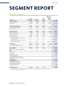### **[SEGMENT REPORT](#page-0-0)**

#### **1 JANUARY TO 30 JUNE 2021**

|                                                                                                       | Mobile         |              | Other/    | <b>Elimination of</b><br>intersegment<br>revenue |              |
|-------------------------------------------------------------------------------------------------------|----------------|--------------|-----------|--------------------------------------------------|--------------|
| in EUR '000s                                                                                          | Communications | TV and Media | Holding   | and costs                                        | <b>Total</b> |
| <b>Third-party revenue</b>                                                                            | 1,091,885      | 133,478      | 13,646    | $\mathbf{0}$                                     | 1,239,009    |
| Inter-segment revenue                                                                                 | 7,969          | 5,339        | 7,907     | $-21,215$                                        | $\Omega$     |
| Total revenue                                                                                         | 1,099,854      | 138,817      | 21,553    | $-21,215$                                        | 1,239,009    |
| Cost of materials, third party                                                                        | $-764,401$     | $-41,507$    | $-8,804$  | 0                                                | $-814,712$   |
| Inter-segment cost of materials                                                                       | $-9,737$       | $-7,520$     | $-174$    | 17,431                                           | $\Omega$     |
| Total cost of materials                                                                               | $-774,138$     | $-49,027$    | $-8,978$  | 17,431                                           | $-814,712$   |
| <b>Segment gross profit</b>                                                                           | 325,716        | 89,790       | 12,575    | $-3,784$                                         | 424,297      |
| Other operating income                                                                                | 19,478         | 617          | 1,380     | $-1,280$                                         | 20,195       |
| Other own work capitalised                                                                            | 6,683          | 3,034        | 1,020     | $\mathbf 0$                                      | 10,737       |
| Personnel expenses                                                                                    | $-63,144$      | $-27,167$    | $-15,532$ | $\mathbf 0$                                      | $-105,843$   |
| Other operating expenses                                                                              | $-105,455$     | - 19,301     | $-7,381$  | 5,064                                            | $-127,073$   |
| Thereof loss allowances on financial assets<br>and contract assets                                    | $-15,977$      | $-42$        | $-76$     | $\mathbf 0$                                      | $-16,095$    |
| Thereof without loss allowances on financial<br>assets and contract assets                            | $-89,478$      | $-19,259$    | $-7,305$  | 5,064                                            | $-110,978$   |
| Overhead total <sup>1</sup>                                                                           | $-142,438$     | $-42,817$    | $-20,513$ | 3,784                                            | $-201,984$   |
| Thereof inter-segment allocation                                                                      | $-3,560$       | $-378$       | 154       | 3,784                                            |              |
|                                                                                                       |                |              |           |                                                  |              |
| <b>Segment EBITDA</b>                                                                                 | 183,278        | 46,973       | $-7,938$  | $\mathbf 0$                                      | 222,313      |
| Depreciation, amortisation and impairment                                                             |                |              |           |                                                  | $-113,300$   |
| <b>EBIT</b>                                                                                           |                |              |           |                                                  | 109,013      |
| Financial result                                                                                      |                |              |           |                                                  | $-16,241$    |
| Income taxes                                                                                          |                |              |           |                                                  | $-10,253$    |
| Consolidated profit from<br>discontinued operations                                                   |                |              |           |                                                  | 82,519       |
| Consolidated profit from discontinued<br>operations attributable to the shareholders<br>of freenet AG |                |              |           |                                                  | $\Omega$     |
| <b>Consolidated profit</b>                                                                            |                |              |           |                                                  | 82.519       |
| Consolidated profit attributable<br>to shareholders of freenet AG                                     |                |              |           |                                                  | 91,806       |
| Consolidated profit attributable<br>to non-controlling interests                                      |                |              |           |                                                  | $-9,287$     |
| <b>Net cash investments</b>                                                                           | 12,413         | 5,050        | 1,935     |                                                  | 19,398       |

1 The overhead costs as the difference between gross profit and EBITDA include the items other operating income, other own work capitalised, personnel expenses and other operating expenses.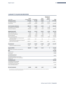|                                                                                                       | Mobile                      |                         | Other/            | <b>Elimination of</b><br>intersegment<br>revenue | <b>Total</b> |
|-------------------------------------------------------------------------------------------------------|-----------------------------|-------------------------|-------------------|--------------------------------------------------|--------------|
| in EUR '000s<br>Third-party revenue                                                                   | Communications<br>1,128,286 | TV and Media<br>121,200 | Holding<br>21,494 | and costs<br>$\mathbf{0}$                        | 1,270,980    |
| Inter-segment revenue                                                                                 | 8,516                       | 4,691                   | 8,026             | $-21,233$                                        | $\Omega$     |
| Total revenue                                                                                         | 1,136,802                   | 125,891                 | 29,520            | $-21,233$                                        | 1,270,980    |
|                                                                                                       |                             |                         |                   |                                                  |              |
| Cost of materials, third party                                                                        | $-801,374$                  | $-36,953$               | $-6,914$          | $\mathbf{0}$                                     | $-845,241$   |
| Inter-segment cost of materials                                                                       | $-9,294$                    | $-7,803$                | $-351$            | 17,448                                           | $\mathbf 0$  |
| Total cost of materials                                                                               | $-810,668$                  | $-44.756$               | $-7,265$          | 17,448                                           | $-845,241$   |
| Segment gross profit                                                                                  | 326,134                     | 81,135                  | 22,255            | $-3,785$                                         | 425,739      |
| Other operating income                                                                                | 23,795                      | 469                     | 1,637             | $-1,861$                                         | 24,040       |
| Other own work capitalised                                                                            | 5,876                       | 2,328                   | 850               | 0                                                | 9,054        |
| Personnel expenses                                                                                    | $-63,950$                   | $-29,749$               | $-18,683$         | 0                                                | $-112,382$   |
| Other operating expenses                                                                              | $-109,248$                  | $-17,715$               | $-11,192$         | 5,646                                            | $-132,509$   |
| Thereof loss allowances on financial assets<br>and contract assets                                    | $-19,974$                   | $-453$                  | $-96$             | 0                                                | $-20,523$    |
| Thereof without loss allowances on financial<br>assets and contract assets                            | $-89,274$                   | $-17,262$               | $-11,096$         | 5,646                                            | $-111,986$   |
| Overhead total <sup>1</sup>                                                                           | - 143,527                   | $-44,667$               | $-27,388$         | 3,785                                            | $-211,797$   |
| Thereof inter-segment allocation                                                                      | $-3,517$                    | $-478$                  | 210               | 3,785                                            |              |
| <b>Segment EBITDA</b>                                                                                 | 182,607                     | 36,468                  | $-5,133$          | $\mathbf 0$                                      | 213,942      |
| Depreciation, amortisation and impairment                                                             |                             |                         |                   |                                                  | $-78,543$    |
| <b>EBIT</b>                                                                                           |                             |                         |                   |                                                  | 135,399      |
| Financial result                                                                                      |                             |                         |                   |                                                  | $-23,320$    |
| Income taxes                                                                                          |                             |                         |                   |                                                  | $-13,789$    |
| Consolidated profit from<br>discontinued operations                                                   |                             |                         |                   |                                                  | 98,290       |
| Consolidated profit from discontinued<br>operations attributable to the shareholders<br>of freenet AG |                             |                         |                   |                                                  | 11,016       |
| <b>Consolidated profit</b>                                                                            |                             |                         |                   |                                                  | 109,306      |
| Consolidated profit attributable<br>to shareholders of freenet AG                                     |                             |                         |                   |                                                  | 112,412      |
| Consolidated profit attributable<br>to non-controlling interests                                      |                             |                         |                   |                                                  | $-3,106$     |
| <b>Net cash investments</b>                                                                           | 10,006                      | 5,843                   | 1,447             |                                                  | 17,296       |

<sup>1</sup> The overhead costs as the difference between gross profit and EBITDA include the items other operating income, other own work capitalised, personnel expenses and other operating expenses.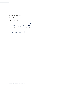Büdelsdorf, 12 August 2021

freenet AG

The Executive Board

Chistoph Vilanek Ingo Jud<sup>ul</sup> 8Md<br>Christoph Vilanek Ingo Arnold Stephan Esch  $8481$ 

- Refuser <sup>1</sup>  $A.$  3- - -  $C$ 

Antonius Fromme Rickmann v. Platen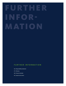# URTHE INFOR-M ATION

#### FURTHER INFORMATION

- 46 | Responsibility statement
- 47 | Glossary
- 48 | Financial calendar
- 49 | Imprint and contact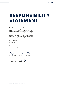### **RESPONSIBILITY STATEMENT**

To the best of our knowledge and belief, and in accordance with the applicable reporting principles and in compliance with generally accepted accounting principles, the condensed interim consolidated financial statements give a true and fair view of the assets, liabilities, financial position and profit or loss of the Group, and the Group interim management report includes a fair review of the development and performance of the business and the position of the Group, together with a description of the material opportunities and risks associated with the expected development of the Group.

Büdelsdorf, 12 August 2021

freenet AG

The Executive Board

 $843$ - Jupp Julia Chistof Village

Christoph Vilanek Ingo Arnold Stephan Esch

 $A^{\mathcal{F}}$ 

Antonius Fromme Rickmann v. Platen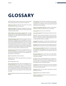### **GLOSSARY**

5G Fifth generation mobile communications, which is based on the existing mobile communications standard LTE.

Adjusted net debt Net debt (see "Net debt") less equity investments (see "Equity investments").

Adjusted leverage Ratio between adjusted net debt (see "Adjusted net debt") and EBITDA (see "EBITDA") generated in the last twelve months.

ARPU (Mobile Communications segment) abbr. Average revenue per user. The customer group-specific usage fee divided by the average number of customers on the relevant reference date.

Diluted earnings per share Diluted earnings per share are calculated by dividing the profit attributable to the shareholders by the weighted average number of shares outstanding increased by potentially dilutive shares. The number of potentially dilutive shares is calculated as the difference between the potential ordinary shares attributable to employee incentive programs measured at the subscription price and the ordinary shares issuable at fair value.

Earnings per share The portion of consolidated profit or loss which is attributable to an individual share. It is calculated by dividing consolidated profit/loss by the weighted average number of issued shares.

EBIT Earnings before interest and taxes.

EBITDA EBIT (see "EBIT") plus depreciation, amortisation and impairment

EBT Earnings before taxes

Equity investments Market value of CECONOMY AG on the reporting date. The market value of CECONOMY AG is calculated by multiplying the closing price of the CECON-OMY AG share on the Frankfurt stock exchange by the number of CECONOMY AG shares held by the freenet Group (32,633,555 no-par-value shares) as of the relevant reference date.

Equity ratio Ratio between equity and total equity and liabilities.

Free cash flow Cash flows from operating activities (without payments for transaction costs from acquiring/selling companies) less CAPEX (see "Net investments") and cash repayments of lease liabilities.

freenet TV subscribers (RGU) RGU means "revenue generating unit"; it refers to active freenet TV subscribers.

Gross profit Revenue less cost of materials.

Gross profit margin Ratio between gross profit and revenue.

IPTV abbr. Internet protocol television; refers to the transmission of television channels and films using the Internet Protocol as opposed to other broadcasting channels such as cable television, DVB-T2 or satellite.

Leverage Ratio between net debt (see "Net debt") and EBITDA (see "EBITDA") generated in the last twelve months.

Net debt Long-term and short-term borrowings shown in the balance sheet, less liquid assets and plus net lease liabilities.

Net investments (CAPEX) Investments in property, plant and equipment and intangible assets, less proceeds from the disposal of intangible assets and property, plant and equipment.

Net lease liabilities Non-current and current lease liabilities shown in the balance sheet, less non-current and current lease receivables.

No-frills No-frills tariffs deliberately have a simple structure, and in general do not include a subsidised device. Traditionally, they are marketed by way of direct distribution (e.g. online) and not via specialist outlets.

Overhead Overhead includes the items other operating income, other own work capitalised, personnel expenses and other operating expenses

Postpaid Mobile services billed subsequently (usually 24-month contracts).

Prepaid Mobile services billed in advance.

waipu.tv subscribers Customers who use subscribed to one of the fee-based tariffs.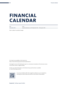### **FINANCIAL CALENDAR**

Date **Exercise Event** 4 November 2021 Quarterly Statement as of 30 September 2021 – Third quarter 2021

Date is subject to possible changes.

Our reports are available on the Internet at: https://www.freenet-group.de/investor/publications/

The English version of the half-yearly report is a convenience translation of the German version. The German version is legally binding.

Further up-to-date information on the freenet Group and the share is available at: www.freenet-group.de/en



If you have installed a QR-Code recognition software on your smartphone, scanning this code will take you directly to the freenet Group website.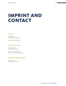### **IMPRINT AND CONTACT**

#### **freenet AG**

Hollerstraße 126 24782 Büdelsdorf, Germany

Phone: + 49 (0) 43 31/69 10 00

#### **Investor Relations & ESG**

Deelbögenkamp 4 22297 Hamburg, Germany

Phone: + 49 (0) 40/5 13 06 778 E-Mail: investor.relations@freenet.ag

#### **CONSULTING, CONCEPT&DESIGN**

Silvester Group www.silvestergroup.com